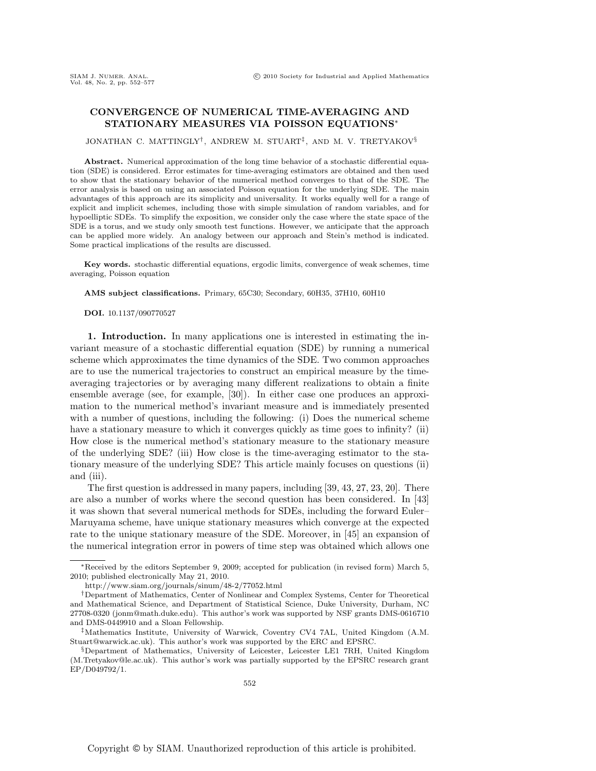# **CONVERGENCE OF NUMERICAL TIME-AVERAGING AND STATIONARY MEASURES VIA POISSON EQUATIONS**<sup>∗</sup>

JONATHAN C. MATTINGLY†, ANDREW M. STUART‡, AND M. V. TRETYAKOV§

**Abstract.** Numerical approximation of the long time behavior of a stochastic differential equation (SDE) is considered. Error estimates for time-averaging estimators are obtained and then used to show that the stationary behavior of the numerical method converges to that of the SDE. The error analysis is based on using an associated Poisson equation for the underlying SDE. The main advantages of this approach are its simplicity and universality. It works equally well for a range of explicit and implicit schemes, including those with simple simulation of random variables, and for hypoelliptic SDEs. To simplify the exposition, we consider only the case where the state space of the SDE is a torus, and we study only smooth test functions. However, we anticipate that the approach can be applied more widely. An analogy between our approach and Stein's method is indicated. Some practical implications of the results are discussed.

**Key words.** stochastic differential equations, ergodic limits, convergence of weak schemes, time averaging, Poisson equation

**AMS subject classifications.** Primary, 65C30; Secondary, 60H35, 37H10, 60H10

**DOI.** 10.1137/090770527

**1. Introduction.** In many applications one is interested in estimating the invariant measure of a stochastic differential equation (SDE) by running a numerical scheme which approximates the time dynamics of the SDE. Two common approaches are to use the numerical trajectories to construct an empirical measure by the timeaveraging trajectories or by averaging many different realizations to obtain a finite ensemble average (see, for example, [30]). In either case one produces an approximation to the numerical method's invariant measure and is immediately presented with a number of questions, including the following: (i) Does the numerical scheme have a stationary measure to which it converges quickly as time goes to infinity? (ii) How close is the numerical method's stationary measure to the stationary measure of the underlying SDE? (iii) How close is the time-averaging estimator to the stationary measure of the underlying SDE? This article mainly focuses on questions (ii) and (iii).

The first question is addressed in many papers, including [39, 43, 27, 23, 20]. There are also a number of works where the second question has been considered. In [43] it was shown that several numerical methods for SDEs, including the forward Euler– Maruyama scheme, have unique stationary measures which converge at the expected rate to the unique stationary measure of the SDE. Moreover, in [45] an expansion of the numerical integration error in powers of time step was obtained which allows one

<sup>∗</sup>Received by the editors September 9, 2009; accepted for publication (in revised form) March 5, 2010; published electronically May 21, 2010.

http://www.siam.org/journals/sinum/48-2/77052.html

<sup>†</sup>Department of Mathematics, Center of Nonlinear and Complex Systems, Center for Theoretical and Mathematical Science, and Department of Statistical Science, Duke University, Durham, NC 27708-0320 (jonm@math.duke.edu). This author's work was supported by NSF grants DMS-0616710 and DMS-0449910 and a Sloan Fellowship.

<sup>‡</sup>Mathematics Institute, University of Warwick, Coventry CV4 7AL, United Kingdom (A.M. Stuart@warwick.ac.uk). This author's work was supported by the ERC and EPSRC.

<sup>§</sup>Department of Mathematics, University of Leicester, Leicester LE1 7RH, United Kingdom (M.Tretyakov@le.ac.uk). This author's work was partially supported by the EPSRC research grant EP/D049792/1.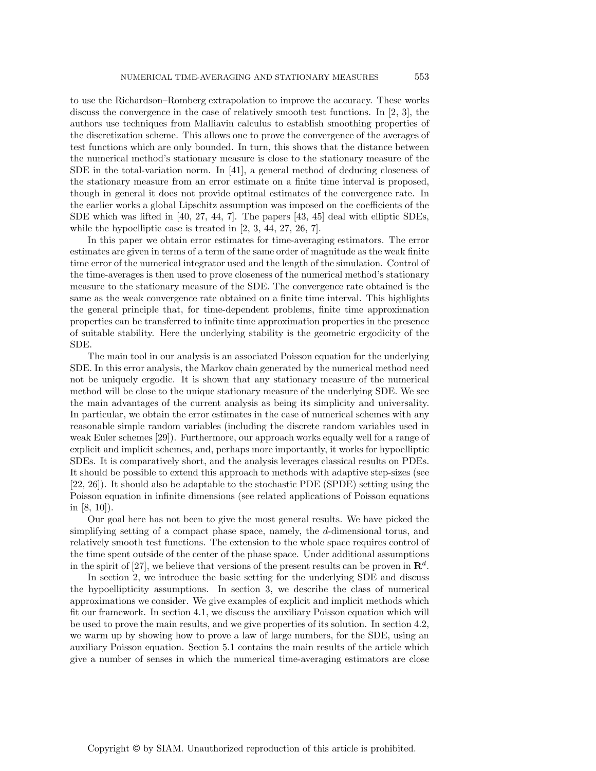to use the Richardson–Romberg extrapolation to improve the accuracy. These works discuss the convergence in the case of relatively smooth test functions. In  $[2, 3]$ , the authors use techniques from Malliavin calculus to establish smoothing properties of the discretization scheme. This allows one to prove the convergence of the averages of test functions which are only bounded. In turn, this shows that the distance between the numerical method's stationary measure is close to the stationary measure of the SDE in the total-variation norm. In [41], a general method of deducing closeness of the stationary measure from an error estimate on a finite time interval is proposed, though in general it does not provide optimal estimates of the convergence rate. In the earlier works a global Lipschitz assumption was imposed on the coefficients of the SDE which was lifted in [40, 27, 44, 7]. The papers [43, 45] deal with elliptic SDEs, while the hypoelliptic case is treated in [2, 3, 44, 27, 26, 7].

In this paper we obtain error estimates for time-averaging estimators. The error estimates are given in terms of a term of the same order of magnitude as the weak finite time error of the numerical integrator used and the length of the simulation. Control of the time-averages is then used to prove closeness of the numerical method's stationary measure to the stationary measure of the SDE. The convergence rate obtained is the same as the weak convergence rate obtained on a finite time interval. This highlights the general principle that, for time-dependent problems, finite time approximation properties can be transferred to infinite time approximation properties in the presence of suitable stability. Here the underlying stability is the geometric ergodicity of the SDE.

The main tool in our analysis is an associated Poisson equation for the underlying SDE. In this error analysis, the Markov chain generated by the numerical method need not be uniquely ergodic. It is shown that any stationary measure of the numerical method will be close to the unique stationary measure of the underlying SDE. We see the main advantages of the current analysis as being its simplicity and universality. In particular, we obtain the error estimates in the case of numerical schemes with any reasonable simple random variables (including the discrete random variables used in weak Euler schemes [29]). Furthermore, our approach works equally well for a range of explicit and implicit schemes, and, perhaps more importantly, it works for hypoelliptic SDEs. It is comparatively short, and the analysis leverages classical results on PDEs. It should be possible to extend this approach to methods with adaptive step-sizes (see [22, 26]). It should also be adaptable to the stochastic PDE (SPDE) setting using the Poisson equation in infinite dimensions (see related applications of Poisson equations in  $[8, 10]$ ).

Our goal here has not been to give the most general results. We have picked the simplifying setting of a compact phase space, namely, the d-dimensional torus, and relatively smooth test functions. The extension to the whole space requires control of the time spent outside of the center of the phase space. Under additional assumptions in the spirit of [27], we believe that versions of the present results can be proven in  $\mathbb{R}^d$ .

In section 2, we introduce the basic setting for the underlying SDE and discuss the hypoellipticity assumptions. In section 3, we describe the class of numerical approximations we consider. We give examples of explicit and implicit methods which fit our framework. In section 4.1, we discuss the auxiliary Poisson equation which will be used to prove the main results, and we give properties of its solution. In section 4.2, we warm up by showing how to prove a law of large numbers, for the SDE, using an auxiliary Poisson equation. Section 5.1 contains the main results of the article which give a number of senses in which the numerical time-averaging estimators are close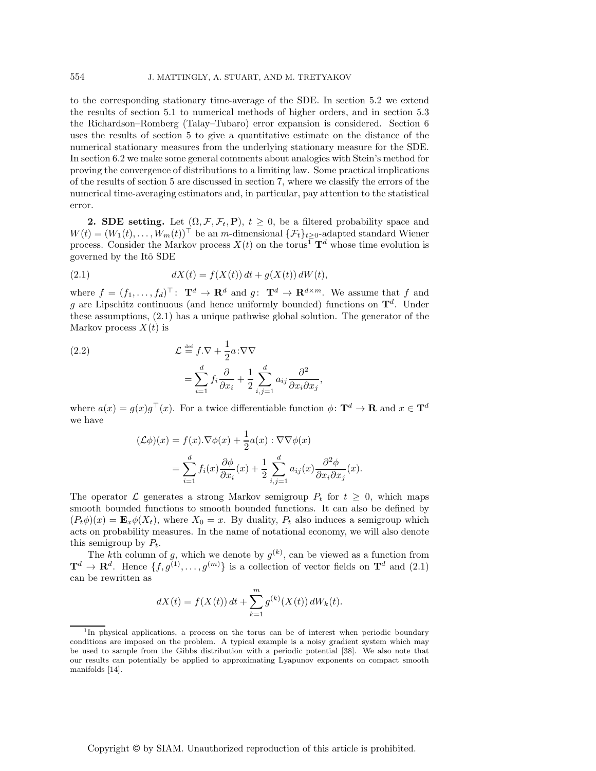to the corresponding stationary time-average of the SDE. In section 5.2 we extend the results of section 5.1 to numerical methods of higher orders, and in section 5.3 the Richardson–Romberg (Talay–Tubaro) error expansion is considered. Section 6 uses the results of section 5 to give a quantitative estimate on the distance of the numerical stationary measures from the underlying stationary measure for the SDE. In section 6.2 we make some general comments about analogies with Stein's method for proving the convergence of distributions to a limiting law. Some practical implications of the results of section 5 are discussed in section 7, where we classify the errors of the numerical time-averaging estimators and, in particular, pay attention to the statistical error.

**2. SDE setting.** Let  $(\Omega, \mathcal{F}, \mathcal{F}_t, \mathbf{P}), t \geq 0$ , be a filtered probability space and  $W(t)=(W_1(t),\ldots,\widetilde{W}_m(t))^{\top}$  be an m-dimensional  $\{\mathcal{F}_t\}_{t\geq 0}$ -adapted standard Wiener process. Consider the Markov process  $X(t)$  on the torus<sup>1</sup>  $\mathbf{T}^d$  whose time evolution is governed by the Itô SDE

(2.1) 
$$
dX(t) = f(X(t)) dt + g(X(t)) dW(t),
$$

where  $f = (f_1, \ldots, f_d)^\top: \mathbf{T}^d \to \mathbf{R}^d$  and  $g: \mathbf{T}^d \to \mathbf{R}^{d \times m}$ . We assume that f and g are Lipschitz continuous (and hence uniformly bounded) functions on  $\mathbf{T}^d$ . Under these assumptions, (2.1) has a unique pathwise global solution. The generator of the Markov process  $X(t)$  is

(2.2) 
$$
\mathcal{L} \stackrel{\text{def}}{=} f \cdot \nabla + \frac{1}{2} a \cdot \nabla \nabla
$$

$$
= \sum_{i=1}^{d} f_i \frac{\partial}{\partial x_i} + \frac{1}{2} \sum_{i,j=1}^{d} a_{ij} \frac{\partial^2}{\partial x_i \partial x_j},
$$

where  $a(x) = g(x)g^{\top}(x)$ . For a twice differentiable function  $\phi \colon \mathbf{T}^d \to \mathbf{R}$  and  $x \in \mathbf{T}^d$ we have

$$
(\mathcal{L}\phi)(x) = f(x).\nabla\phi(x) + \frac{1}{2}a(x):\nabla\nabla\phi(x)
$$

$$
= \sum_{i=1}^d f_i(x)\frac{\partial\phi}{\partial x_i}(x) + \frac{1}{2}\sum_{i,j=1}^d a_{ij}(x)\frac{\partial^2\phi}{\partial x_i \partial x_j}(x).
$$

The operator L generates a strong Markov semigroup  $P_t$  for  $t \geq 0$ , which maps smooth bounded functions to smooth bounded functions. It can also be defined by  $(P_t \phi)(x) = \mathbf{E}_x \phi(X_t)$ , where  $X_0 = x$ . By duality,  $P_t$  also induces a semigroup which acts on probability measures. In the name of notational economy, we will also denote this semigroup by  $P_t$ .

The k<sup>th</sup> column of g, which we denote by  $g^{(k)}$ , can be viewed as a function from  $\mathbf{T}^d \to \mathbf{R}^d$ . Hence  $\{f, g^{(1)}, \ldots, g^{(m)}\}$  is a collection of vector fields on  $\mathbf{T}^d$  and (2.1) can be rewritten as

$$
dX(t) = f(X(t)) dt + \sum_{k=1}^{m} g^{(k)}(X(t)) dW_k(t).
$$

<sup>&</sup>lt;sup>1</sup>In physical applications, a process on the torus can be of interest when periodic boundary conditions are imposed on the problem. A typical example is a noisy gradient system which may be used to sample from the Gibbs distribution with a periodic potential [38]. We also note that our results can potentially be applied to approximating Lyapunov exponents on compact smooth manifolds [14].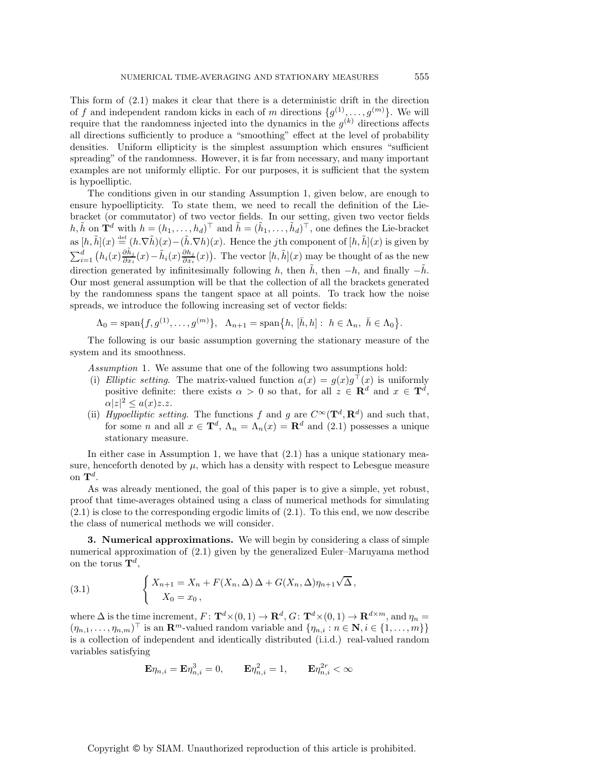This form of (2.1) makes it clear that there is a deterministic drift in the direction of f and independent random kicks in each of m directions  $\{g^{(1)},\ldots,g^{(m)}\}$ . We will require that the randomness injected into the dynamics in the  $g^{(k)}$  directions affects all directions sufficiently to produce a "smoothing" effect at the level of probability densities. Uniform ellipticity is the simplest assumption which ensures "sufficient spreading" of the randomness. However, it is far from necessary, and many important examples are not uniformly elliptic. For our purposes, it is sufficient that the system is hypoelliptic.

The conditions given in our standing Assumption 1, given below, are enough to ensure hypoellipticity. To state them, we need to recall the definition of the Liebracket (or commutator) of two vector fields. In our setting, given two vector fields  $h, \tilde{h}$  on  $\mathbf{T}^d$  with  $h = (h_1, \ldots, h_d)^\top$  and  $\tilde{h} = (\tilde{h}_1, \ldots, \tilde{h}_d)^\top$ , one defines the Lie-bracket as  $[h,\tilde{h}](x) \stackrel{\text{def}}{=} (h.\nabla \tilde{h})(x) - (\tilde{h}.\nabla h)(x)$ . Hence the jth component of  $[h,\tilde{h}](x)$  is given by  $\sum_{i=1}^d (h_i(x) \frac{\partial \tilde{h}_j}{\partial x_i}(x) - \tilde{h}_i(x) \frac{\partial h_j}{\partial x_i}(x))$ . The vector  $[h, \tilde{h}](x)$  may be thought of as the new direction generated by infinitesimally following h, then  $\tilde{h}$ , then  $-h$ , and finally  $-\tilde{h}$ . Our most general assumption will be that the collection of all the brackets generated by the randomness spans the tangent space at all points. To track how the noise spreads, we introduce the following increasing set of vector fields:

$$
\Lambda_0 = \text{span}\{f, g^{(1)}, \dots, g^{(m)}\}, \ \ \Lambda_{n+1} = \text{span}\{h, [\bar{h}, h]: h \in \Lambda_n, \ \bar{h} \in \Lambda_0\}.
$$

The following is our basic assumption governing the stationary measure of the system and its smoothness.

- *Assumption* 1. We assume that one of the following two assumptions hold:
- (i) *Elliptic setting*. The matrix-valued function  $a(x) = g(x)g^{\top}(x)$  is uniformly positive definite: there exists  $\alpha > 0$  so that, for all  $z \in \mathbb{R}^d$  and  $x \in \mathbb{T}^d$ ,  $\alpha |z|^2 \leq a(x)z.z.$
- (ii) *Hypoelliptic setting*. The functions f and g are  $C^{\infty}(\mathbf{T}^d, \mathbf{R}^d)$  and such that, for some *n* and all  $x \in \mathbf{T}^d$ ,  $\Lambda_n = \Lambda_n(x) = \mathbf{R}^d$  and (2.1) possesses a unique stationary measure.

In either case in Assumption 1, we have that (2.1) has a unique stationary measure, henceforth denoted by  $\mu$ , which has a density with respect to Lebesgue measure on  $\mathbf{T}^d$ .

As was already mentioned, the goal of this paper is to give a simple, yet robust, proof that time-averages obtained using a class of numerical methods for simulating (2.1) is close to the corresponding ergodic limits of (2.1). To this end, we now describe the class of numerical methods we will consider.

**3. Numerical approximations.** We will begin by considering a class of simple numerical approximation of (2.1) given by the generalized Euler–Maruyama method on the torus  $\mathbf{T}^d$ ,

(3.1) 
$$
\begin{cases} X_{n+1} = X_n + F(X_n, \Delta) \Delta + G(X_n, \Delta) \eta_{n+1} \sqrt{\Delta}, \\ X_0 = x_0, \end{cases}
$$

where  $\Delta$  is the time increment,  $F: \mathbf{T}^d \times (0, 1) \to \mathbf{R}^d$ ,  $G: \mathbf{T}^d \times (0, 1) \to \mathbf{R}^{d \times m}$ , and  $\eta_n =$  $(\eta_{n,1},\ldots,\eta_{n,m})^{\top}$  is an  $\mathbb{R}^m$ -valued random variable and  $\{\eta_{n,i}:n\in\mathbb{N},i\in\{1,\ldots,m\}\}\$ is a collection of independent and identically distributed (i.i.d.) real-valued random variables satisfying

$$
\mathbf{E}\eta_{n,i} = \mathbf{E}\eta_{n,i}^3 = 0, \qquad \mathbf{E}\eta_{n,i}^2 = 1, \qquad \mathbf{E}\eta_{n,i}^{2r} < \infty
$$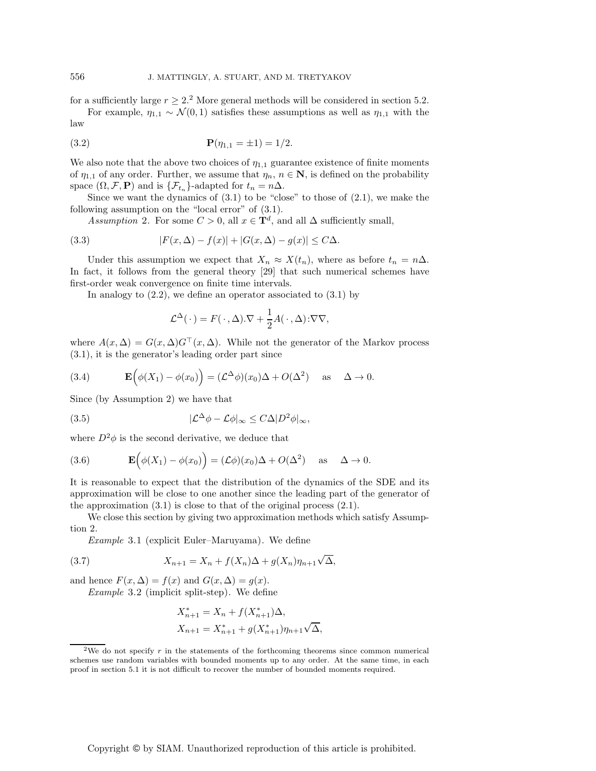for a sufficiently large  $r \geq 2$ .<sup>2</sup> More general methods will be considered in section 5.2.

For example,  $\eta_{1,1} \sim \mathcal{N}(0,1)$  satisfies these assumptions as well as  $\eta_{1,1}$  with the law

(3.2) 
$$
\mathbf{P}(\eta_{1,1} = \pm 1) = 1/2.
$$

We also note that the above two choices of  $\eta_{1,1}$  guarantee existence of finite moments of  $\eta_{1,1}$  of any order. Further, we assume that  $\eta_n$ ,  $n \in \mathbb{N}$ , is defined on the probability space  $(\Omega, \mathcal{F}, \mathbf{P})$  and is  $\{\mathcal{F}_{t_n}\}\$ -adapted for  $t_n = n\Delta$ .

Since we want the dynamics of  $(3.1)$  to be "close" to those of  $(2.1)$ , we make the following assumption on the "local error" of (3.1).

*Assumption* 2. For some  $C > 0$ , all  $x \in \mathbf{T}^d$ , and all  $\Delta$  sufficiently small,

(3.3) 
$$
|F(x, \Delta) - f(x)| + |G(x, \Delta) - g(x)| \le C\Delta.
$$

Under this assumption we expect that  $X_n \approx X(t_n)$ , where as before  $t_n = n\Delta$ . In fact, it follows from the general theory [29] that such numerical schemes have first-order weak convergence on finite time intervals.

In analogy to  $(2.2)$ , we define an operator associated to  $(3.1)$  by

$$
\mathcal{L}^{\Delta}(\cdot) = F(\cdot, \Delta) . \nabla + \frac{1}{2} A(\cdot, \Delta) : \nabla \nabla,
$$

where  $A(x, \Delta) = G(x, \Delta)G^{\top}(x, \Delta)$ . While not the generator of the Markov process (3.1), it is the generator's leading order part since

(3.4) 
$$
\mathbf{E}(\phi(X_1) - \phi(x_0)) = (\mathcal{L}^{\Delta}\phi)(x_0)\Delta + O(\Delta^2) \quad \text{as} \quad \Delta \to 0.
$$

Since (by Assumption 2) we have that

(3.5) 
$$
|\mathcal{L}^{\Delta}\phi - \mathcal{L}\phi|_{\infty} \leq C\Delta|D^2\phi|_{\infty},
$$

where  $D^2\phi$  is the second derivative, we deduce that

(3.6) 
$$
\mathbf{E}(\phi(X_1) - \phi(x_0)) = (\mathcal{L}\phi)(x_0)\Delta + O(\Delta^2) \quad \text{as} \quad \Delta \to 0.
$$

It is reasonable to expect that the distribution of the dynamics of the SDE and its approximation will be close to one another since the leading part of the generator of the approximation  $(3.1)$  is close to that of the original process  $(2.1)$ .

We close this section by giving two approximation methods which satisfy Assumption 2.

*Example* 3.1 (explicit Euler–Maruyama). We define

(3.7) 
$$
X_{n+1} = X_n + f(X_n)\Delta + g(X_n)\eta_{n+1}\sqrt{\Delta},
$$

and hence  $F(x, \Delta) = f(x)$  and  $G(x, \Delta) = g(x)$ .

*Example* 3.2 (implicit split-step). We define

$$
X_{n+1}^{*} = X_n + f(X_{n+1}^{*})\Delta,
$$
  
\n
$$
X_{n+1} = X_{n+1}^{*} + g(X_{n+1}^{*})\eta_{n+1}\sqrt{\Delta},
$$

<sup>&</sup>lt;sup>2</sup>We do not specify r in the statements of the forthcoming theorems since common numerical schemes use random variables with bounded moments up to any order. At the same time, in each proof in section 5.1 it is not difficult to recover the number of bounded moments required.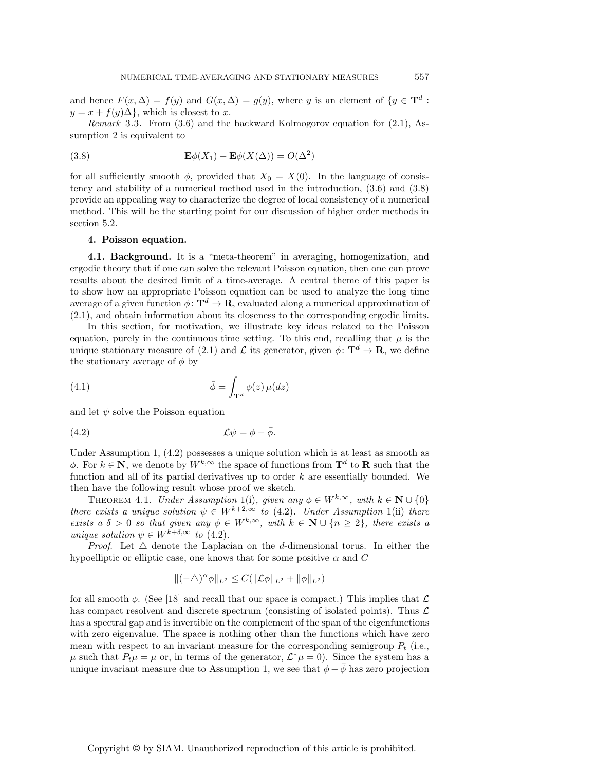and hence  $F(x, \Delta) = f(y)$  and  $G(x, \Delta) = g(y)$ , where y is an element of  $\{y \in \mathbf{T}^d :$  $y = x + f(y) \Delta$ , which is closest to x.

*Remark* 3.3. From (3.6) and the backward Kolmogorov equation for (2.1), Assumption 2 is equivalent to

(3.8) 
$$
\mathbf{E}\phi(X_1) - \mathbf{E}\phi(X(\Delta)) = O(\Delta^2)
$$

for all sufficiently smooth  $\phi$ , provided that  $X_0 = X(0)$ . In the language of consistency and stability of a numerical method used in the introduction, (3.6) and (3.8) provide an appealing way to characterize the degree of local consistency of a numerical method. This will be the starting point for our discussion of higher order methods in section 5.2.

### **4. Poisson equation.**

**4.1. Background.** It is a "meta-theorem" in averaging, homogenization, and ergodic theory that if one can solve the relevant Poisson equation, then one can prove results about the desired limit of a time-average. A central theme of this paper is to show how an appropriate Poisson equation can be used to analyze the long time average of a given function  $\phi: \mathbf{T}^d \to \mathbf{R}$ , evaluated along a numerical approximation of (2.1), and obtain information about its closeness to the corresponding ergodic limits.

In this section, for motivation, we illustrate key ideas related to the Poisson equation, purely in the continuous time setting. To this end, recalling that  $\mu$  is the unique stationary measure of (2.1) and  $\mathcal{L}$  its generator, given  $\phi: \mathbf{T}^d \to \mathbf{R}$ , we define the stationary average of  $\phi$  by

(4.1) 
$$
\bar{\phi} = \int_{\mathbf{T}^d} \phi(z) \,\mu(dz)
$$

and let  $\psi$  solve the Poisson equation

$$
(4.2) \t\t\t\t\t\mathcal{L}\psi = \phi - \bar{\phi}.
$$

Under Assumption 1, (4.2) possesses a unique solution which is at least as smooth as  $φ$ . For  $k \in \mathbf{N}$ , we denote by  $W^{k, \infty}$  the space of functions from  $\mathbf{T}^d$  to **R** such that the function and all of its partial derivatives up to order  $k$  are essentially bounded. We then have the following result whose proof we sketch.

THEOREM 4.1. *Under Assumption* 1(i)*, given any*  $\phi \in W^{k,\infty}$ *, with*  $k \in \mathbb{N} \cup \{0\}$ *there exists a unique solution*  $\psi \in W^{k+2,\infty}$  *to* (4.2)*. Under Assumption* 1(ii) *there exists a*  $\delta > 0$  *so that given any*  $\phi \in W^{k,\infty}$ *, with*  $k \in \mathbb{N} \cup \{n \geq 2\}$ *, there exists a unique solution*  $\psi \in W^{\overline{k}+\delta,\infty}$  *to* (4.2).

*Proof.* Let  $\triangle$  denote the Laplacian on the d-dimensional torus. In either the hypoelliptic or elliptic case, one knows that for some positive  $\alpha$  and  $C$ 

$$
\|(-\triangle)^{\alpha}\phi\|_{L^2} \le C(\|\mathcal{L}\phi\|_{L^2} + \|\phi\|_{L^2})
$$

for all smooth  $\phi$ . (See [18] and recall that our space is compact.) This implies that  $\mathcal L$ has compact resolvent and discrete spectrum (consisting of isolated points). Thus  $\mathcal L$ has a spectral gap and is invertible on the complement of the span of the eigenfunctions with zero eigenvalue. The space is nothing other than the functions which have zero mean with respect to an invariant measure for the corresponding semigroup  $P_t$  (i.e.,  $\mu$  such that  $P_t\mu = \mu$  or, in terms of the generator,  $\mathcal{L}^*\mu = 0$ ). Since the system has a unique invariant measure due to Assumption 1, we see that  $\phi - \bar{\phi}$  has zero projection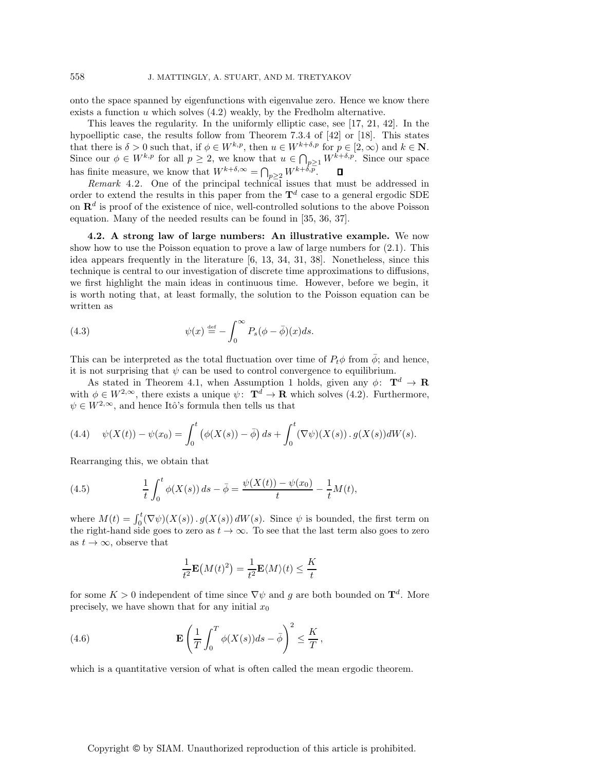onto the space spanned by eigenfunctions with eigenvalue zero. Hence we know there exists a function  $u$  which solves  $(4.2)$  weakly, by the Fredholm alternative.

This leaves the regularity. In the uniformly elliptic case, see [17, 21, 42]. In the hypoelliptic case, the results follow from Theorem 7.3.4 of [42] or [18]. This states that there is  $\delta > 0$  such that, if  $\phi \in W^{k,p}$ , then  $u \in W^{k+\delta,p}$  for  $p \in [2,\infty)$  and  $k \in \mathbb{N}$ . Since our  $\phi \in W^{k,p}$  for all  $p \geq 2$ , we know that  $u \in \bigcap_{p \geq 1} W^{k+\delta,p}$ . Since our space has finite measure, we know that  $W^{k+\delta,\infty} = \bigcap_{p\geq 2} W^{k+\delta,p}$ .

*Remark* 4.2. One of the principal technical issues that must be addressed in order to extend the results in this paper from the  $\mathbf{T}^d$  case to a general ergodic SDE on  $\mathbb{R}^d$  is proof of the existence of nice, well-controlled solutions to the above Poisson equation. Many of the needed results can be found in [35, 36, 37].

**4.2. A strong law of large numbers: An illustrative example.** We now show how to use the Poisson equation to prove a law of large numbers for (2.1). This idea appears frequently in the literature [6, 13, 34, 31, 38]. Nonetheless, since this technique is central to our investigation of discrete time approximations to diffusions, we first highlight the main ideas in continuous time. However, before we begin, it is worth noting that, at least formally, the solution to the Poisson equation can be written as

(4.3) 
$$
\psi(x) \stackrel{\text{def}}{=} -\int_0^\infty P_s(\phi - \bar{\phi})(x) ds.
$$

This can be interpreted as the total fluctuation over time of  $P_t\phi$  from  $\bar{\phi}$ ; and hence, it is not surprising that  $\psi$  can be used to control convergence to equilibrium.

As stated in Theorem 4.1, when Assumption 1 holds, given any  $\phi: \mathbf{T}^d \to \mathbf{R}$ with  $\phi \in W^{2,\infty}$ , there exists a unique  $\psi: \mathbf{T}^d \to \mathbf{R}$  which solves (4.2). Furthermore,  $\psi \in W^{2,\infty}$ , and hence Itô's formula then tells us that

(4.4) 
$$
\psi(X(t)) - \psi(x_0) = \int_0^t (\phi(X(s)) - \bar{\phi}) ds + \int_0^t (\nabla \psi)(X(s)) \cdot g(X(s)) dW(s).
$$

Rearranging this, we obtain that

(4.5) 
$$
\frac{1}{t} \int_0^t \phi(X(s)) ds - \bar{\phi} = \frac{\psi(X(t)) - \psi(x_0)}{t} - \frac{1}{t} M(t),
$$

where  $M(t) = \int_0^t (\nabla \psi)(X(s)) \cdot g(X(s)) dW(s)$ . Since  $\psi$  is bounded, the first term on the right-hand side goes to zero as  $t \to \infty$ . To see that the last term also goes to zero as  $t \to \infty$ , observe that

$$
\frac{1}{t^2} \mathbf{E}\left(M(t)^2\right) = \frac{1}{t^2} \mathbf{E}\langle M \rangle(t) \le \frac{K}{t}
$$

for some  $K > 0$  independent of time since  $\nabla \psi$  and g are both bounded on  $\mathbf{T}^d$ . More precisely, we have shown that for any initial  $x_0$ 

(4.6) 
$$
\mathbf{E}\left(\frac{1}{T}\int_0^T \phi(X(s))ds - \bar{\phi}\right)^2 \leq \frac{K}{T},
$$

which is a quantitative version of what is often called the mean ergodic theorem.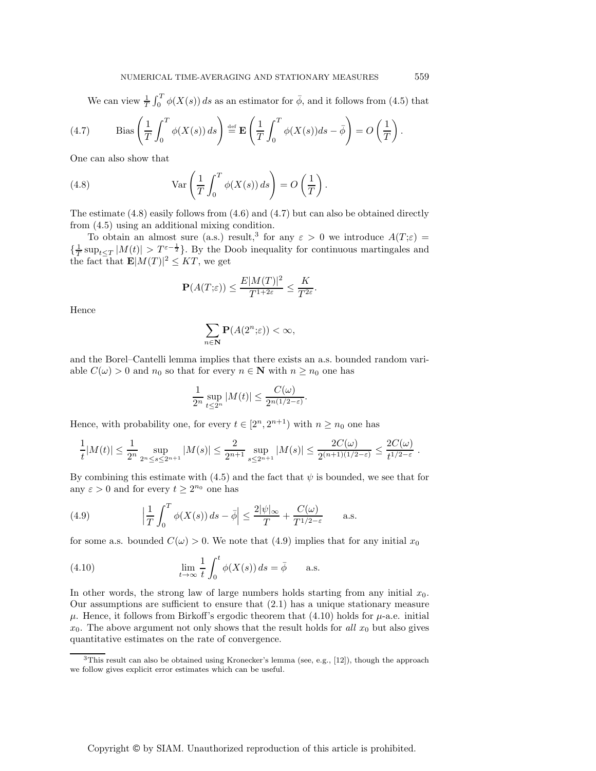We can view  $\frac{1}{T} \int_0^T \phi(X(s)) ds$  as an estimator for  $\bar{\phi}$ , and it follows from (4.5) that

(4.7) Bias 
$$
\left(\frac{1}{T} \int_0^T \phi(X(s)) ds\right) \stackrel{\text{def}}{=} \mathbf{E} \left(\frac{1}{T} \int_0^T \phi(X(s)) ds - \overline{\phi}\right) = O\left(\frac{1}{T}\right).
$$

One can also show that

(4.8) 
$$
\operatorname{Var}\left(\frac{1}{T}\int_0^T \phi(X(s))\,ds\right) = O\left(\frac{1}{T}\right).
$$

The estimate  $(4.8)$  easily follows from  $(4.6)$  and  $(4.7)$  but can also be obtained directly from (4.5) using an additional mixing condition.

To obtain an almost sure (a.s.) result,<sup>3</sup> for any  $\varepsilon > 0$  we introduce  $A(T;\varepsilon) =$  $\{\frac{1}{T}\sup_{t\leq T}|M(t)|>T^{\varepsilon-\frac{1}{2}}\}.$  By the Doob inequality for continuous martingales and the fact that  $\mathbf{E}|M(T)|^2 \leq KT$ , we get

$$
\mathbf{P}(A(T;\!\varepsilon))\leq \frac{E|M(T)|^2}{T^{1+2\varepsilon}}\leq \frac{K}{T^{2\varepsilon}}.
$$

Hence

$$
\sum_{n\in\mathbf{N}}\mathbf{P}(A(2^n;\varepsilon))<\infty,
$$

and the Borel–Cantelli lemma implies that there exists an a.s. bounded random variable  $C(\omega) > 0$  and  $n_0$  so that for every  $n \in \mathbb{N}$  with  $n \geq n_0$  one has

$$
\frac{1}{2^n} \sup_{t \le 2^n} |M(t)| \le \frac{C(\omega)}{2^{n(1/2 - \varepsilon)}}.
$$

Hence, with probability one, for every  $t \in [2^n, 2^{n+1})$  with  $n \geq n_0$  one has

$$
\frac{1}{t}|M(t)| \leq \frac{1}{2^n} \sup_{2^n \leq s \leq 2^{n+1}} |M(s)| \leq \frac{2}{2^{n+1}} \sup_{s \leq 2^{n+1}} |M(s)| \leq \frac{2C(\omega)}{2^{(n+1)(1/2-\varepsilon)}} \leq \frac{2C(\omega)}{t^{1/2-\varepsilon}}.
$$

By combining this estimate with  $(4.5)$  and the fact that  $\psi$  is bounded, we see that for any  $\varepsilon > 0$  and for every  $t \geq 2^{n_0}$  one has

(4.9) 
$$
\left|\frac{1}{T}\int_0^T \phi(X(s))\,ds - \bar{\phi}\right| \le \frac{2|\psi|_{\infty}}{T} + \frac{C(\omega)}{T^{1/2-\varepsilon}} \quad \text{a.s.}
$$

for some a.s. bounded  $C(\omega) > 0$ . We note that (4.9) implies that for any initial  $x_0$ 

(4.10) 
$$
\lim_{t \to \infty} \frac{1}{t} \int_0^t \phi(X(s)) ds = \overline{\phi} \quad \text{a.s.}
$$

In other words, the strong law of large numbers holds starting from any initial  $x_0$ . Our assumptions are sufficient to ensure that  $(2.1)$  has a unique stationary measure  $\mu$ . Hence, it follows from Birkoff's ergodic theorem that (4.10) holds for  $\mu$ -a.e. initial  $x_0$ . The above argument not only shows that the result holds for *all*  $x_0$  but also gives quantitative estimates on the rate of convergence.

<sup>&</sup>lt;sup>3</sup>This result can also be obtained using Kronecker's lemma (see, e.g., [12]), though the approach we follow gives explicit error estimates which can be useful.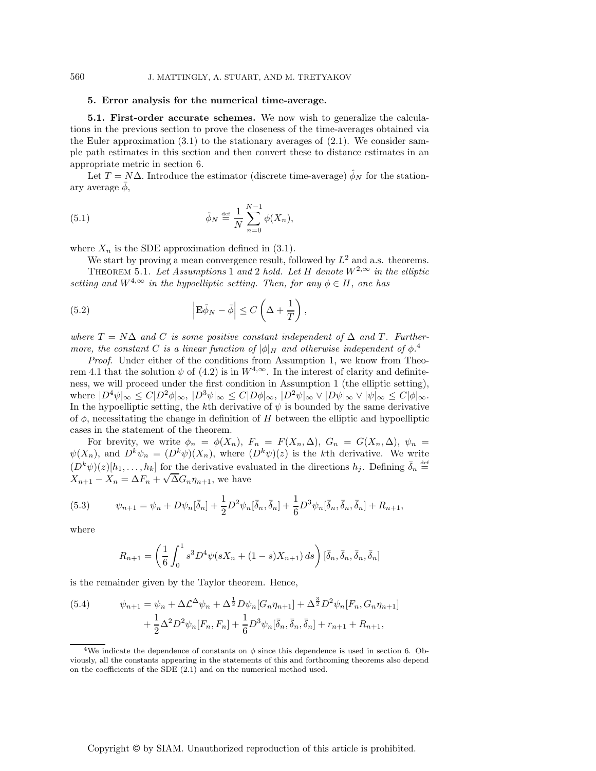## **5. Error analysis for the numerical time-average.**

**5.1. First-order accurate schemes.** We now wish to generalize the calculations in the previous section to prove the closeness of the time-averages obtained via the Euler approximation  $(3.1)$  to the stationary averages of  $(2.1)$ . We consider sample path estimates in this section and then convert these to distance estimates in an appropriate metric in section 6.

Let  $T = N\Delta$ . Introduce the estimator (discrete time-average)  $\hat{\phi}_N$  for the stationary average  $\phi$ ,

(5.1) 
$$
\hat{\phi}_N \stackrel{\text{def}}{=} \frac{1}{N} \sum_{n=0}^{N-1} \phi(X_n),
$$

where  $X_n$  is the SDE approximation defined in (3.1).

We start by proving a mean convergence result, followed by  $L^2$  and a.s. theorems. THEOREM 5.1. Let Assumptions 1 and 2 hold. Let H denote  $W^{2,\infty}$  in the elliptic *setting and*  $W^{4,\infty}$  *in the hypoelliptic setting. Then, for any*  $\phi \in H$ *, one has* 

(5.2) 
$$
\left| \mathbf{E} \hat{\phi}_N - \bar{\phi} \right| \leq C \left( \Delta + \frac{1}{T} \right),
$$

*where*  $T = N\Delta$  *and C is some positive constant independent of*  $\Delta$  *and T*. Further*more, the constant* C *is a linear function of*  $|\phi|_H$  *and otherwise independent of*  $\phi$ <sup>4</sup>

*Proof.* Under either of the conditions from Assumption 1, we know from Theorem 4.1 that the solution  $\psi$  of (4.2) is in  $W^{4,\infty}$ . In the interest of clarity and definiteness, we will proceed under the first condition in Assumption 1 (the elliptic setting), where  $|D^4\psi|_{\infty} \leq C|D^2\phi|_{\infty}$ ,  $|D^3\psi|_{\infty} \leq C|D\phi|_{\infty}$ ,  $|D^2\psi|_{\infty} \vee |D\psi|_{\infty} \vee |\psi|_{\infty} \leq C|\phi|_{\infty}$ . In the hypoelliptic setting, the k<sup>th</sup> derivative of  $\psi$  is bounded by the same derivative of  $\phi$ , necessitating the change in definition of H between the elliptic and hypoelliptic cases in the statement of the theorem.

For brevity, we write  $\phi_n = \phi(X_n)$ ,  $F_n = F(X_n, \Delta)$ ,  $G_n = G(X_n, \Delta)$ ,  $\psi_n =$  $\psi(X_n)$ , and  $D^k \psi_n = (D^k \psi)(X_n)$ , where  $(D^k \psi)(z)$  is the kth derivative. We write  $(D^k \psi)(z)[h_1,\ldots,h_k]$  for the derivative evaluated in the directions  $h_j$ . Defining  $\bar{\delta}_n \stackrel{\text{def}}{=}$  $(X_n + Y) = \sum_{n=1}^{\lfloor n/2 \rfloor} X_{n+1} - X_n = \Delta F_n + \sqrt{\Delta} G_n \eta_{n+1}$ , we have

(5.3) 
$$
\psi_{n+1} = \psi_n + D\psi_n[\bar{\delta}_n] + \frac{1}{2}D^2\psi_n[\bar{\delta}_n, \bar{\delta}_n] + \frac{1}{6}D^3\psi_n[\bar{\delta}_n, \bar{\delta}_n, \bar{\delta}_n] + R_{n+1},
$$

where

$$
R_{n+1} = \left(\frac{1}{6} \int_0^1 s^3 D^4 \psi(sX_n + (1-s)X_{n+1}) ds\right) [\bar{\delta}_n, \bar{\delta}_n, \bar{\delta}_n, \bar{\delta}_n]
$$

is the remainder given by the Taylor theorem. Hence,

(5.4) 
$$
\psi_{n+1} = \psi_n + \Delta \mathcal{L}^{\Delta} \psi_n + \Delta^{\frac{1}{2}} D \psi_n [G_n \eta_{n+1}] + \Delta^{\frac{3}{2}} D^2 \psi_n [F_n, G_n \eta_{n+1}] + \frac{1}{2} \Delta^2 D^2 \psi_n [F_n, F_n] + \frac{1}{6} D^3 \psi_n [\bar{\delta}_n, \bar{\delta}_n, \bar{\delta}_n] + r_{n+1} + R_{n+1},
$$

<sup>&</sup>lt;sup>4</sup>We indicate the dependence of constants on  $\phi$  since this dependence is used in section 6. Obviously, all the constants appearing in the statements of this and forthcoming theorems also depend on the coefficients of the SDE (2.1) and on the numerical method used.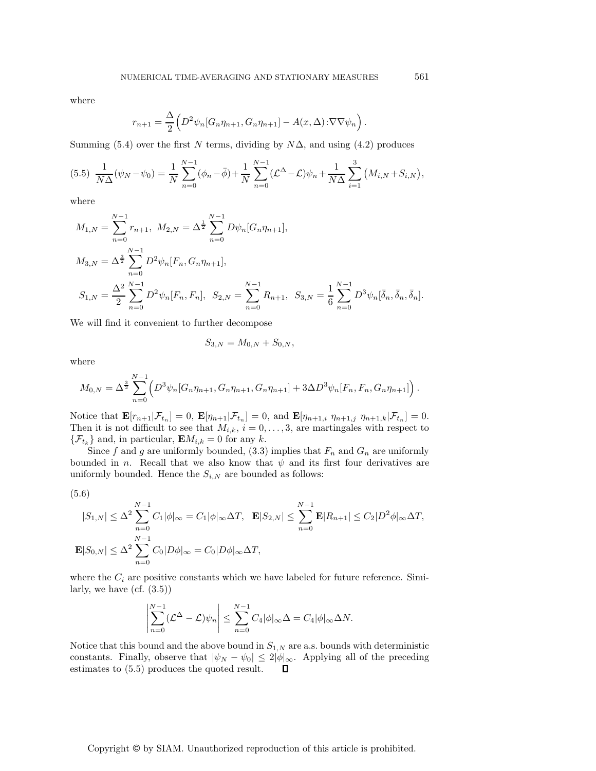where

$$
r_{n+1} = \frac{\Delta}{2} \Big( D^2 \psi_n[G_n \eta_{n+1}, G_n \eta_{n+1}] - A(x, \Delta) : \nabla \nabla \psi_n \Big).
$$

Summing (5.4) over the first N terms, dividing by  $N\Delta$ , and using (4.2) produces

$$
(5.5)\ \frac{1}{N\Delta}(\psi_N - \psi_0) = \frac{1}{N}\sum_{n=0}^{N-1}(\phi_n - \bar{\phi}) + \frac{1}{N}\sum_{n=0}^{N-1}(\mathcal{L}^{\Delta} - \mathcal{L})\psi_n + \frac{1}{N\Delta}\sum_{i=1}^{3}\left(M_{i,N} + S_{i,N}\right),
$$

where

$$
M_{1,N} = \sum_{n=0}^{N-1} r_{n+1}, M_{2,N} = \Delta^{\frac{1}{2}} \sum_{n=0}^{N-1} D\psi_n[G_n \eta_{n+1}],
$$
  
\n
$$
M_{3,N} = \Delta^{\frac{3}{2}} \sum_{n=0}^{N-1} D^2 \psi_n[F_n, G_n \eta_{n+1}],
$$
  
\n
$$
S_{1,N} = \frac{\Delta^2}{2} \sum_{n=0}^{N-1} D^2 \psi_n[F_n, F_n], S_{2,N} = \sum_{n=0}^{N-1} R_{n+1}, S_{3,N} = \frac{1}{6} \sum_{n=0}^{N-1} D^3 \psi_n[\bar{\delta}_n, \bar{\delta}_n, \bar{\delta}_n].
$$

We will find it convenient to further decompose

$$
S_{3,N} = M_{0,N} + S_{0,N},
$$

where

$$
M_{0,N} = \Delta^{\frac{3}{2}} \sum_{n=0}^{N-1} \left( D^3 \psi_n[G_n \eta_{n+1}, G_n \eta_{n+1}, G_n \eta_{n+1}] + 3 \Delta D^3 \psi_n[F_n, F_n, G_n \eta_{n+1}] \right).
$$

Notice that  $\mathbf{E}[r_{n+1}|\mathcal{F}_{t_n}] = 0$ ,  $\mathbf{E}[\eta_{n+1}|\mathcal{F}_{t_n}] = 0$ , and  $\mathbf{E}[\eta_{n+1,i} \eta_{n+1,j} \eta_{n+1,k}|\mathcal{F}_{t_n}] = 0$ . Then it is not difficult to see that  $M_{i,k}$ ,  $i = 0, \ldots, 3$ , are martingales with respect to  $\{\mathcal{F}_{t_k}\}\$ and, in particular,  $\mathbf{E}M_{i,k} = 0$  for any k.

Since f and g are uniformly bounded,  $(3.3)$  implies that  $F_n$  and  $G_n$  are uniformly bounded in n. Recall that we also know that  $\psi$  and its first four derivatives are uniformly bounded. Hence the  $S_{i,N}$  are bounded as follows:

$$
(5.6)
$$

$$
|S_{1,N}| \leq \Delta^2 \sum_{n=0}^{N-1} C_1 |\phi|_{\infty} = C_1 |\phi|_{\infty} \Delta T, \quad \mathbf{E}|S_{2,N}| \leq \sum_{n=0}^{N-1} \mathbf{E}|R_{n+1}| \leq C_2 |D^2 \phi|_{\infty} \Delta T,
$$
  

$$
\mathbf{E}|S_{0,N}| \leq \Delta^2 \sum_{n=0}^{N-1} C_0 |D\phi|_{\infty} = C_0 |D\phi|_{\infty} \Delta T,
$$

where the  $C_i$  are positive constants which we have labeled for future reference. Similarly, we have  $(cf. (3.5))$ 

$$
\left|\sum_{n=0}^{N-1}(\mathcal{L}^{\Delta}-\mathcal{L})\psi_n\right|\leq \sum_{n=0}^{N-1}C_4|\phi|_{\infty}\Delta=C_4|\phi|_{\infty}\Delta N.
$$

Notice that this bound and the above bound in  $S_{1,N}$  are a.s. bounds with deterministic constants. Finally, observe that  $|\psi_N - \psi_0| \leq 2|\phi|_{\infty}$ . Applying all of the preceding estimates to (5.5) produces the quoted result. $\Box$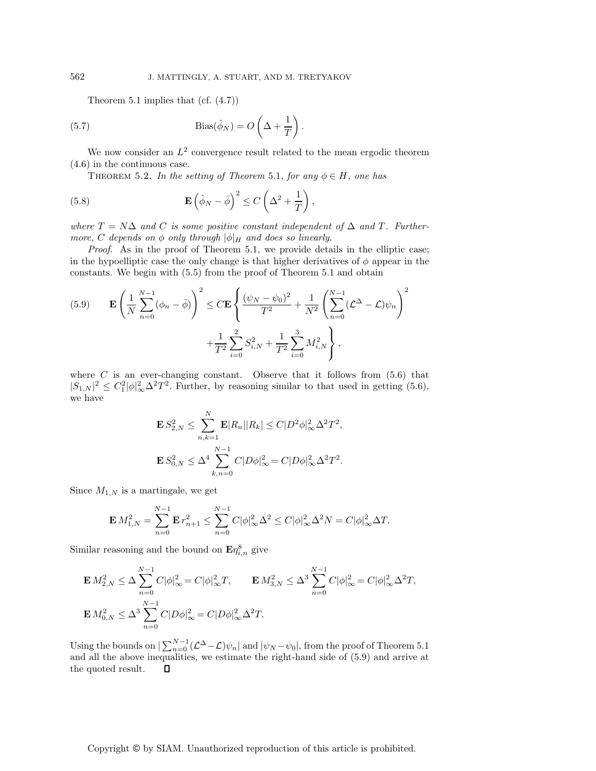Theorem 5.1 implies that  $(cf. (4.7))$ 

(5.7) 
$$
\text{Bias}(\hat{\phi}_N) = O\left(\Delta + \frac{1}{T}\right).
$$

We now consider an  $L^2$  convergence result related to the mean ergodic theorem (4.6) in the continuous case.

THEOREM 5.2. *In the setting of Theorem* 5.1*, for any*  $\phi \in H$ *, one has* 

(5.8) 
$$
\mathbf{E}\left(\hat{\phi}_N - \bar{\phi}\right)^2 \leq C\left(\Delta^2 + \frac{1}{T}\right),
$$

where  $T = N\Delta$  and C is some positive constant independent of  $\Delta$  and T. Further*more,* C depends on  $\phi$  *only through*  $|\phi|_H$  *and does so linearly.* 

*Proof.* As in the proof of Theorem 5.1, we provide details in the elliptic case; in the hypoelliptic case the only change is that higher derivatives of  $\phi$  appear in the constants. We begin with (5.5) from the proof of Theorem 5.1 and obtain

(5.9) 
$$
\mathbf{E}\left(\frac{1}{N}\sum_{n=0}^{N-1}(\phi_n-\bar{\phi})\right)^2 \leq C\mathbf{E}\left\{\frac{(\psi_N-\psi_0)^2}{T^2}+\frac{1}{N^2}\left(\sum_{n=0}^{N-1}(\mathcal{L}^{\Delta}-\mathcal{L})\psi_n\right)^2+\frac{1}{T^2}\sum_{i=0}^{2}S_{i,N}^2+\frac{1}{T^2}\sum_{i=0}^{3}M_{i,N}^2\right\},\
$$

where  $C$  is an ever-changing constant. Observe that it follows from  $(5.6)$  that  $|S_{1,N}|^2 \leq C_1^2 |\phi|_{\infty}^2 \Delta^2 T^2$ . Further, by reasoning similar to that used in getting (5.6), we have

$$
\begin{aligned} &\mathbf{E}\, S_{2,N}^2 \leq \sum_{n,k=1}^N \mathbf{E}|R_n||R_k| \leq C|D^2\phi|_\infty^2\Delta^2 T^2,\\ &\mathbf{E}\, S_{0,N}^2 \leq \Delta^4 \sum_{k,n=0}^{N-1} C|D\phi|_\infty^2 = C|D\phi|_\infty^2\Delta^2 T^2. \end{aligned}
$$

Since  $M_{1,N}$  is a martingale, we get

$$
\mathbf{E} M_{1,N}^2 = \sum_{n=0}^{N-1} \mathbf{E} r_{n+1}^2 \le \sum_{n=0}^{N-1} C |\phi|_{\infty}^2 \Delta^2 \le C |\phi|_{\infty}^2 \Delta^2 N = C |\phi|_{\infty}^2 \Delta T.
$$

Similar reasoning and the bound on  $\mathbf{E}\eta_{i,n}^8$  give

$$
\begin{aligned} &\mathbf{E}\,M_{2,N}^2\leq \Delta\sum_{n=0}^{N-1}C|\phi|_{\infty}^2=C|\phi|_{\infty}^2T,\qquad \mathbf{E}\,M_{3,N}^2\leq \Delta^3\sum_{n=0}^{N-1}C|\phi|_{\infty}^2=C|\phi|_{\infty}^2\Delta^2T,\\ &\mathbf{E}\,M_{0,N}^2\leq \Delta^3\sum_{n=0}^{N-1}C|D\phi|_{\infty}^2=C|D\phi|_{\infty}^2\Delta^2T. \end{aligned}
$$

Using the bounds on  $|\sum_{n=0}^{N-1} (\mathcal{L}^{\Delta} - \mathcal{L})\psi_n|$  and  $|\psi_N - \psi_0|$ , from the proof of Theorem 5.1 and all the above inequalities, we estimate the right-hand side of (5.9) and arrive at the quoted result. $\Box$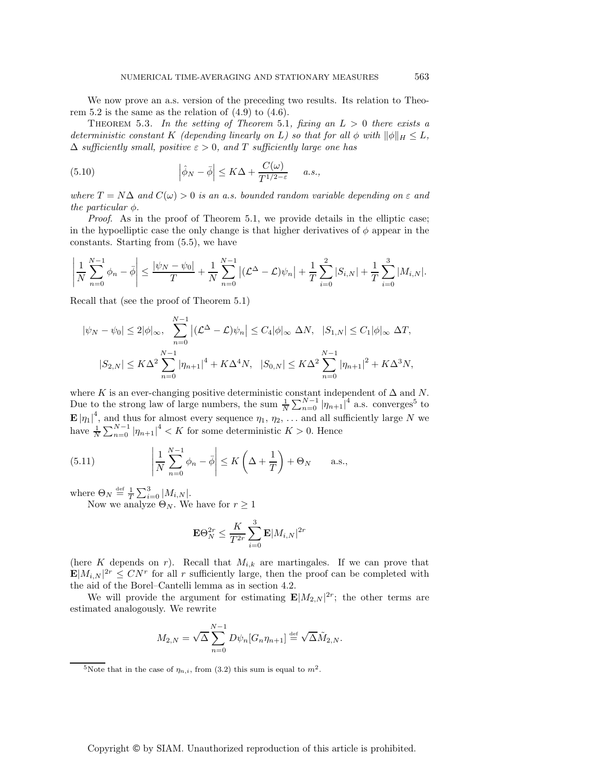We now prove an a.s. version of the preceding two results. Its relation to Theorem 5.2 is the same as the relation of  $(4.9)$  to  $(4.6)$ .

Theorem 5.3. *In the setting of Theorem* 5.1*, fixing an* L > 0 *there exists a deterministic constant* K *(depending linearly on* L) so that for all  $\phi$  with  $\|\phi\|_H \leq L$ ,  $\Delta$  *sufficiently small, positive*  $\varepsilon > 0$ *, and* T *sufficiently large one has* 

(5.10) 
$$
\left|\hat{\phi}_N - \bar{\phi}\right| \leq K\Delta + \frac{C(\omega)}{T^{1/2-\varepsilon}} \quad a.s.,
$$

*where*  $T = N\Delta$  *and*  $C(\omega) > 0$  *is an a.s. bounded random variable depending on*  $\varepsilon$  *and the particular* φ*.*

*Proof.* As in the proof of Theorem 5.1, we provide details in the elliptic case; in the hypoelliptic case the only change is that higher derivatives of  $\phi$  appear in the constants. Starting from (5.5), we have

$$
\left|\frac{1}{N}\sum_{n=0}^{N-1}\phi_n - \bar{\phi}\right| \le \frac{|\psi_N - \psi_0|}{T} + \frac{1}{N}\sum_{n=0}^{N-1}|(\mathcal{L}^{\Delta} - \mathcal{L})\psi_n| + \frac{1}{T}\sum_{i=0}^{2}|S_{i,N}| + \frac{1}{T}\sum_{i=0}^{3}|M_{i,N}|.
$$

Recall that (see the proof of Theorem 5.1)

$$
|\psi_N - \psi_0| \le 2|\phi|_{\infty}, \sum_{n=0}^{N-1} |(\mathcal{L}^{\Delta} - \mathcal{L})\psi_n| \le C_4 |\phi|_{\infty} \Delta N, |S_{1,N}| \le C_1 |\phi|_{\infty} \Delta T,
$$
  

$$
|S_{2,N}| \le K\Delta^2 \sum_{n=0}^{N-1} |\eta_{n+1}|^4 + K\Delta^4 N, |S_{0,N}| \le K\Delta^2 \sum_{n=0}^{N-1} |\eta_{n+1}|^2 + K\Delta^3 N,
$$

where K is an ever-changing positive deterministic constant independent of  $\Delta$  and N. Due to the strong law of large numbers, the sum  $\frac{1}{N} \sum_{n=0}^{N-1} |\eta_{n+1}|^4$  a.s. converges<sup>5</sup> to  $\mathbf{E} |\eta_1|^4$ , and thus for almost every sequence  $\eta_1, \eta_2, \ldots$  and all sufficiently large N we have  $\frac{1}{N} \sum_{n=0}^{N-1} |\eta_{n+1}|^4 < K$  for some deterministic  $K > 0$ . Hence

(5.11) 
$$
\left| \frac{1}{N} \sum_{n=0}^{N-1} \phi_n - \bar{\phi} \right| \le K \left( \Delta + \frac{1}{T} \right) + \Theta_N \quad \text{a.s.},
$$

where  $\Theta_N \stackrel{\text{def}}{=} \frac{1}{T} \sum_{i=0}^3 |M_{i,N}|.$ 

Now we analyze  $\Theta_N$ . We have for  $r \geq 1$ 

$$
\mathbf{E}\Theta_N^{2r}\leq \frac{K}{T^{2r}}\sum_{i=0}^3\mathbf{E}|M_{i,N}|^{2r}
$$

(here K depends on r). Recall that  $M_{i,k}$  are martingales. If we can prove that  $\mathbf{E}|M_{i,N}|^{2r} \leq CN^r$  for all r sufficiently large, then the proof can be completed with the aid of the Borel–Cantelli lemma as in section 4.2.

We will provide the argument for estimating  $\mathbf{E}|M_{2,N}|^{2r}$ ; the other terms are estimated analogously. We rewrite

$$
M_{2,N} = \sqrt{\Delta} \sum_{n=0}^{N-1} D\psi_n[G_n \eta_{n+1}] \stackrel{\text{def}}{=} \sqrt{\Delta} \tilde{M}_{2,N}.
$$

<sup>5</sup>Note that in the case of  $\eta_{n,i}$ , from (3.2) this sum is equal to  $m^2$ .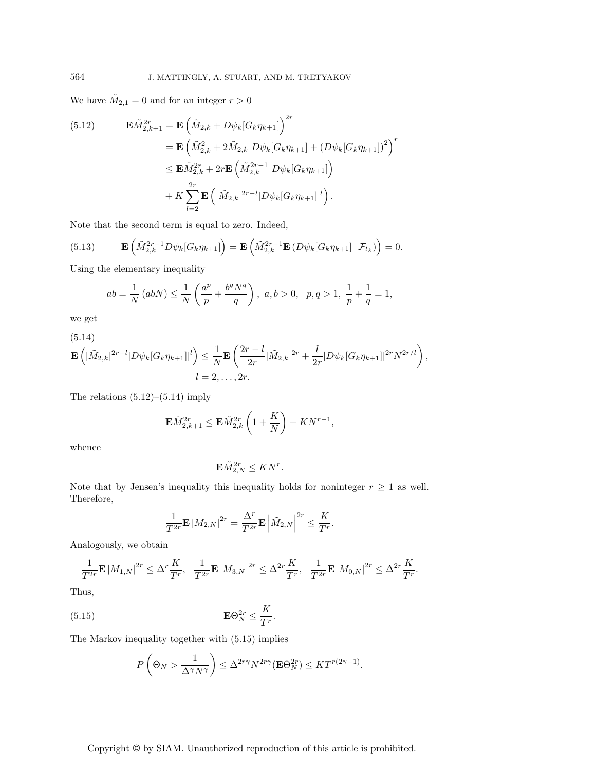We have  $\tilde{M}_{2,1}=0$  and for an integer  $r>0$ 

(5.12) 
$$
\mathbf{E}\tilde{M}_{2,k+1}^{2r} = \mathbf{E}\left(\tilde{M}_{2,k} + D\psi_k[G_k\eta_{k+1}]\right)^{2r} \n= \mathbf{E}\left(\tilde{M}_{2,k}^2 + 2\tilde{M}_{2,k} D\psi_k[G_k\eta_{k+1}] + (D\psi_k[G_k\eta_{k+1}])^2\right)^r \n\leq \mathbf{E}\tilde{M}_{2,k}^{2r} + 2r\mathbf{E}\left(\tilde{M}_{2,k}^{2r-1} D\psi_k[G_k\eta_{k+1}]\right) \n+ K \sum_{l=2}^{2r} \mathbf{E}\left(|\tilde{M}_{2,k}|^{2r-l}|D\psi_k[G_k\eta_{k+1}]|\right).
$$

Note that the second term is equal to zero. Indeed,

(5.13) 
$$
\mathbf{E}\left(\tilde{M}_{2,k}^{2r-1}D\psi_k[G_k\eta_{k+1}]\right)=\mathbf{E}\left(\tilde{M}_{2,k}^{2r-1}\mathbf{E}\left(D\psi_k[G_k\eta_{k+1}]\big|\mathcal{F}_{t_k}\right)\right)=0.
$$

Using the elementary inequality

$$
ab = \frac{1}{N} (abN) \leq \frac{1}{N} \left( \frac{a^p}{p} + \frac{b^q N^q}{q} \right), \ a, b > 0, \ p, q > 1, \ \frac{1}{p} + \frac{1}{q} = 1,
$$

we get

(5.14)

$$
\mathbf{E}\left(|\tilde{M}_{2,k}|^{2r-l}|D\psi_k[G_k\eta_{k+1}]|^l\right) \leq \frac{1}{N}\mathbf{E}\left(\frac{2r-l}{2r}|\tilde{M}_{2,k}|^{2r} + \frac{l}{2r}|D\psi_k[G_k\eta_{k+1}]|^{2r}N^{2r/l}\right),
$$
  

$$
l = 2, \dots, 2r.
$$

The relations  $(5.12)$ – $(5.14)$  imply

$$
\mathbf{E}\tilde{M}_{2,k+1}^{2r} \leq \mathbf{E}\tilde{M}_{2,k}^{2r} \left(1 + \frac{K}{N}\right) + KN^{r-1},
$$

whence

$$
\mathbf{E} \tilde{M}_{2,N}^{2r} \leq K N^r.
$$

Note that by Jensen's inequality this inequality holds for noninteger  $r \geq 1$  as well. Therefore,

$$
\frac{1}{T^{2r}} \mathbf{E} \left| M_{2,N} \right|^{2r} = \frac{\Delta^r}{T^{2r}} \mathbf{E} \left| \tilde{M}_{2,N} \right|^{2r} \le \frac{K}{T^r}.
$$

Analogously, we obtain

$$
\frac{1}{T^{2r}} \mathbf{E} |M_{1,N}|^{2r} \leq \Delta^r \frac{K}{T^r}, \quad \frac{1}{T^{2r}} \mathbf{E} |M_{3,N}|^{2r} \leq \Delta^{2r} \frac{K}{T^r}, \quad \frac{1}{T^{2r}} \mathbf{E} |M_{0,N}|^{2r} \leq \Delta^{2r} \frac{K}{T^r}.
$$

Thus,

(5.15) 
$$
\mathbf{E}\Theta_N^{2r} \leq \frac{K}{T^r}.
$$

The Markov inequality together with (5.15) implies

$$
P\left(\Theta_N > \frac{1}{\Delta^{\gamma} N^{\gamma}}\right) \leq \Delta^{2r\gamma} N^{2r\gamma}(\mathbf{E}\Theta_N^{2r}) \leq KT^{r(2\gamma - 1)}.
$$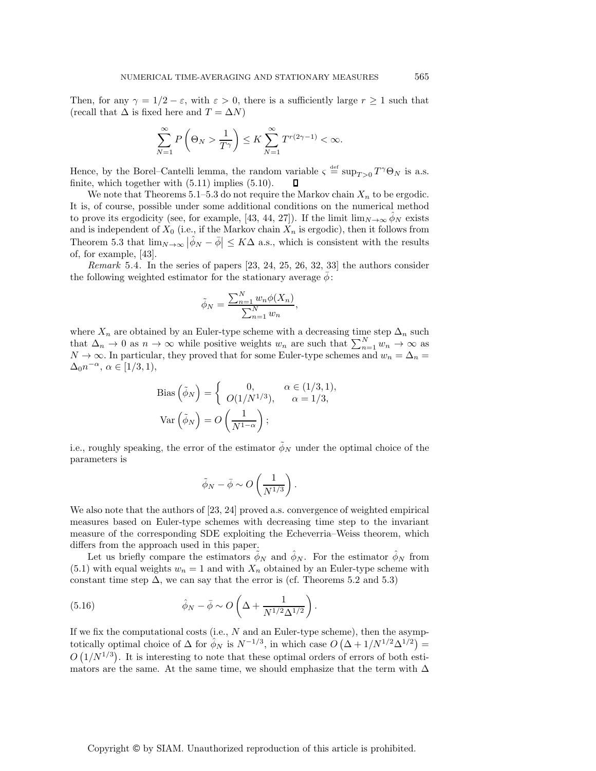Then, for any  $\gamma = 1/2 - \varepsilon$ , with  $\varepsilon > 0$ , there is a sufficiently large  $r \ge 1$  such that (recall that  $\Delta$  is fixed here and  $T = \Delta N$ )

$$
\sum_{N=1}^{\infty} P\left(\Theta_N > \frac{1}{T^{\gamma}}\right) \le K \sum_{N=1}^{\infty} T^{r(2\gamma - 1)} < \infty.
$$

Hence, by the Borel–Cantelli lemma, the random variable  $\varsigma \stackrel{\text{def}}{=} \sup_{T>0} T^{\gamma} \Theta_N$  is a.s. finite, which together with (5.11) implies (5.10).  $\Box$ 

We note that Theorems 5.1–5.3 do not require the Markov chain  $X_n$  to be ergodic. It is, of course, possible under some additional conditions on the numerical method to prove its ergodicity (see, for example, [43, 44, 27]). If the limit  $\lim_{N\to\infty}\phi_N$  exists and is independent of  $X_0$  (i.e., if the Markov chain  $X_n$  is ergodic), then it follows from Theorem 5.3 that  $\lim_{N\to\infty} |\hat{\phi}_N - \bar{\phi}| \leq K\Delta$  a.s., which is consistent with the results of, for example, [43].

*Remark* 5.4. In the series of papers [23, 24, 25, 26, 32, 33] the authors consider the following weighted estimator for the stationary average  $\bar{\phi}$ :

$$
\tilde{\phi}_N = \frac{\sum_{n=1}^N w_n \phi(X_n)}{\sum_{n=1}^N w_n},
$$

where  $X_n$  are obtained by an Euler-type scheme with a decreasing time step  $\Delta_n$  such that  $\Delta_n \to 0$  as  $n \to \infty$  while positive weights  $w_n$  are such that  $\sum_{n=1}^N w_n \to \infty$  as  $N \to \infty$ . In particular, they proved that for some Euler-type schemes and  $w_n = \Delta_n =$  $\Delta_0 n^{-\alpha}, \alpha \in [1/3, 1),$ 

Bias 
$$
(\tilde{\phi}_N)
$$
 =  $\begin{cases} 0, & \alpha \in (1/3, 1), \\ O(1/N^{1/3}), & \alpha = 1/3, \end{cases}$   
Var  $(\tilde{\phi}_N)$  =  $O\left(\frac{1}{N^{1-\alpha}}\right)$ ;

i.e., roughly speaking, the error of the estimator  $\phi_N$  under the optimal choice of the parameters is

$$
\tilde{\phi}_N - \bar{\phi} \sim O\left(\frac{1}{N^{1/3}}\right).
$$

We also note that the authors of [23, 24] proved a.s. convergence of weighted empirical measures based on Euler-type schemes with decreasing time step to the invariant measure of the corresponding SDE exploiting the Echeverria–Weiss theorem, which differs from the approach used in this paper.

Let us briefly compare the estimators  $\phi_N$  and  $\phi_N$ . For the estimator  $\hat{\phi}_N$  from (5.1) with equal weights  $w_n = 1$  and with  $X_n$  obtained by an Euler-type scheme with constant time step  $\Delta$ , we can say that the error is (cf. Theorems 5.2 and 5.3)

(5.16) 
$$
\hat{\phi}_N - \bar{\phi} \sim O\left(\Delta + \frac{1}{N^{1/2} \Delta^{1/2}}\right).
$$

If we fix the computational costs (i.e.,  $N$  and an Euler-type scheme), then the asymptotically optimal choice of  $\Delta$  for  $\hat{\phi}_N$  is  $N^{-1/3}$ , in which case  $O(\Delta + 1/N^{1/2}\Delta^{1/2}) =$  $O(1/N^{1/3})$ . It is interesting to note that these optimal orders of errors of both estimators are the same. At the same time, we should emphasize that the term with  $\Delta$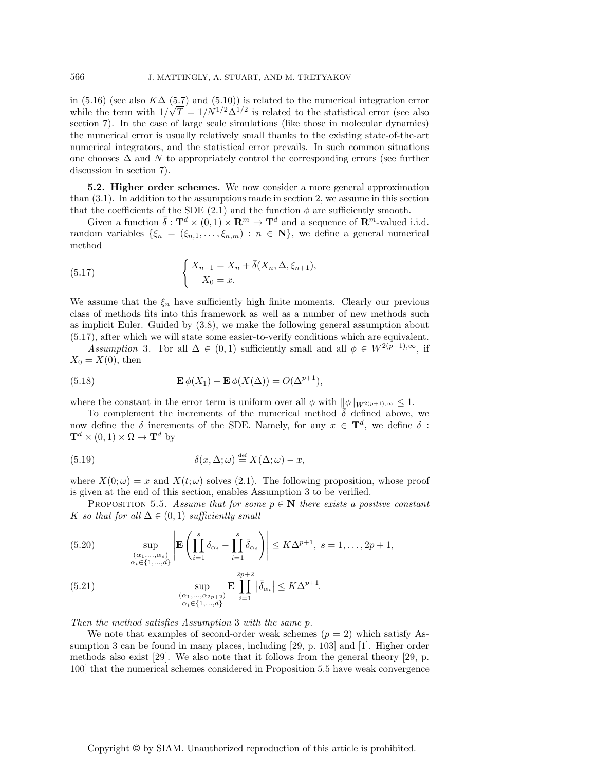in (5.16) (see also  $K\Delta$  (5.7) and (5.10)) is related to the numerical integration error while the term with  $1/\sqrt{T} = 1/\dot{N}^{1/2} \Delta^{1/2}$  is related to the statistical error (see also section 7). In the case of large scale simulations (like those in molecular dynamics) the numerical error is usually relatively small thanks to the existing state-of-the-art numerical integrators, and the statistical error prevails. In such common situations one chooses  $\Delta$  and N to appropriately control the corresponding errors (see further discussion in section 7).

**5.2. Higher order schemes.** We now consider a more general approximation than (3.1). In addition to the assumptions made in section 2, we assume in this section that the coefficients of the SDE (2.1) and the function  $\phi$  are sufficiently smooth.

Given a function  $\bar{\delta}: \mathbf{T}^d \times (0,1) \times \mathbf{R}^m \to \mathbf{T}^d$  and a sequence of  $\mathbf{R}^m$ -valued i.i.d. random variables  $\{\xi_n = (\xi_{n,1},\ldots,\xi_{n,m}) : n \in \mathbb{N}\}\$ , we define a general numerical method

(5.17) 
$$
\begin{cases} X_{n+1} = X_n + \bar{\delta}(X_n, \Delta, \xi_{n+1}), \\ X_0 = x. \end{cases}
$$

We assume that the  $\xi_n$  have sufficiently high finite moments. Clearly our previous class of methods fits into this framework as well as a number of new methods such as implicit Euler. Guided by (3.8), we make the following general assumption about (5.17), after which we will state some easier-to-verify conditions which are equivalent.

*Assumption* 3. For all  $\Delta \in (0,1)$  sufficiently small and all  $\phi \in W^{2(p+1),\infty}$ , if  $X_0 = X(0)$ , then

(5.18) 
$$
\mathbf{E}\phi(X_1) - \mathbf{E}\phi(X(\Delta)) = O(\Delta^{p+1}),
$$

where the constant in the error term is uniform over all  $\phi$  with  $\|\phi\|_{W^{2(p+1),\infty}} \leq 1$ .

To complement the increments of the numerical method  $\bar{\delta}$  defined above, we now define the  $\delta$  increments of the SDE. Namely, for any  $x \in \mathbf{T}^d$ , we define  $\delta$ :  $\mathbf{T}^d \times (0,1) \times \Omega \to \mathbf{T}^d$  by

(5.19) 
$$
\delta(x, \Delta; \omega) \stackrel{\text{def}}{=} X(\Delta; \omega) - x,
$$

where  $X(0; \omega) = x$  and  $X(t; \omega)$  solves (2.1). The following proposition, whose proof is given at the end of this section, enables Assumption 3 to be verified.

PROPOSITION 5.5. Assume that for some  $p \in \mathbb{N}$  there exists a positive constant K so that for all  $\Delta \in (0,1)$  sufficiently small

(5.20) 
$$
\sup_{\substack{(\alpha_1,\ldots,\alpha_s)\\ \alpha_i\in\{1,\ldots,d\}}} \left| \mathbf{E}\left(\prod_{i=1}^s \delta_{\alpha_i} - \prod_{i=1}^s \bar{\delta}_{\alpha_i}\right) \right| \leq K\Delta^{p+1}, \ s = 1,\ldots,2p+1,
$$

(5.21) 
$$
\sup_{\substack{(\alpha_1,\ldots,\alpha_{2p+2})\\ \alpha_i \in \{1,\ldots,d\}}} \mathbf{E} \prod_{i=1}^{2p+2} |\bar{\delta}_{\alpha_i}| \leq K \Delta^{p+1}.
$$

*Then the method satisfies Assumption* 3 *with the same* p*.*

We note that examples of second-order weak schemes  $(p = 2)$  which satisfy Assumption 3 can be found in many places, including [29, p. 103] and [1]. Higher order methods also exist [29]. We also note that it follows from the general theory [29, p. 100] that the numerical schemes considered in Proposition 5.5 have weak convergence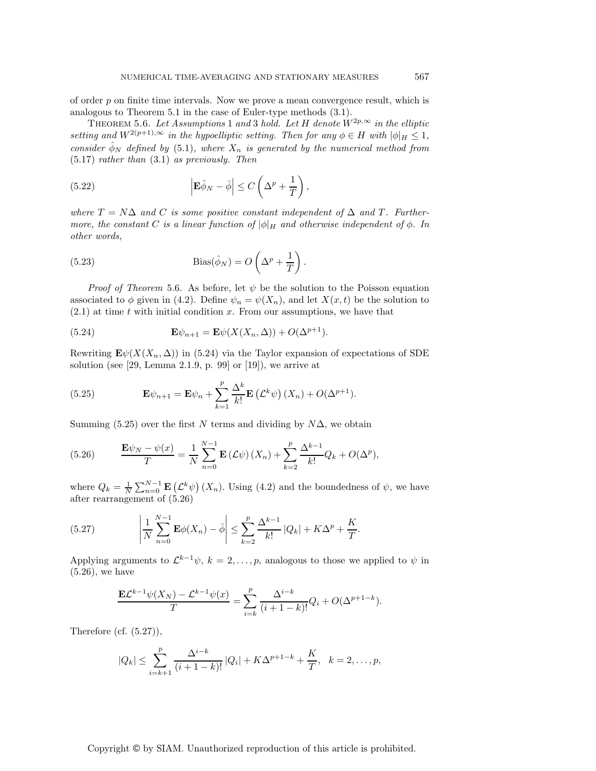of order  $p$  on finite time intervals. Now we prove a mean convergence result, which is analogous to Theorem 5.1 in the case of Euler-type methods (3.1).

THEOREM 5.6. Let Assumptions 1 and 3 hold. Let H denote  $W^{2p,\infty}$  in the elliptic *setting and*  $W^{2(p+1),\infty}$  *in the hypoelliptic setting. Then for any*  $\phi \in H$  *with*  $|\phi|_H \leq 1$ *, consider*  $\hat{\phi}_N$  *defined by* (5.1)*, where*  $X_n$  *is generated by the numerical method from* (5.17) *rather than* (3.1) *as previously. Then*

(5.22) 
$$
\left| \mathbf{E} \hat{\phi}_N - \bar{\phi} \right| \leq C \left( \Delta^p + \frac{1}{T} \right),
$$

where  $T = N\Delta$  and C is some positive constant independent of  $\Delta$  and T. Further*more, the constant* C *is a linear function of*  $|\phi|_H$  *and otherwise independent of*  $\phi$ *. In other words,*

(5.23) 
$$
Bias(\hat{\phi}_N) = O\left(\Delta^p + \frac{1}{T}\right).
$$

*Proof of Theorem* 5.6. As before, let  $\psi$  be the solution to the Poisson equation associated to  $\phi$  given in (4.2). Define  $\psi_n = \psi(X_n)$ , and let  $X(x, t)$  be the solution to  $(2.1)$  at time t with initial condition x. From our assumptions, we have that

(5.24) 
$$
\mathbf{E}\psi_{n+1} = \mathbf{E}\psi(X(X_n,\Delta)) + O(\Delta^{p+1}).
$$

Rewriting  $\mathbf{E}\psi(X(X_n,\Delta))$  in (5.24) via the Taylor expansion of expectations of SDE solution (see  $[29, \text{Lemma } 2.1.9, \text{p. } 99]$  or  $[19]$ ), we arrive at

(5.25) 
$$
\mathbf{E}\psi_{n+1} = \mathbf{E}\psi_n + \sum_{k=1}^p \frac{\Delta^k}{k!} \mathbf{E} \left( \mathcal{L}^k \psi \right) (X_n) + O(\Delta^{p+1}).
$$

Summing (5.25) over the first N terms and dividing by  $N\Delta$ , we obtain

(5.26) 
$$
\frac{\mathbf{E}\psi_N - \psi(x)}{T} = \frac{1}{N} \sum_{n=0}^{N-1} \mathbf{E} (\mathcal{L}\psi) (X_n) + \sum_{k=2}^{p} \frac{\Delta^{k-1}}{k!} Q_k + O(\Delta^p),
$$

where  $Q_k = \frac{1}{N} \sum_{n=0}^{N-1} \mathbf{E} \left( \mathcal{L}^k \psi \right) (X_n)$ . Using (4.2) and the boundedness of  $\psi$ , we have after rearrangement of (5.26)

(5.27) 
$$
\left| \frac{1}{N} \sum_{n=0}^{N-1} \mathbf{E} \phi(X_n) - \bar{\phi} \right| \leq \sum_{k=2}^{p} \frac{\Delta^{k-1}}{k!} |Q_k| + K \Delta^p + \frac{K}{T}.
$$

Applying arguments to  $\mathcal{L}^{k-1}\psi$ ,  $k=2,\ldots,p$ , analogous to those we applied to  $\psi$  in (5.26), we have

$$
\frac{\mathbf{E} \mathcal{L}^{k-1} \psi(X_N) - \mathcal{L}^{k-1} \psi(x)}{T} = \sum_{i=k}^p \frac{\Delta^{i-k}}{(i+1-k)!} Q_i + O(\Delta^{p+1-k}).
$$

Therefore (cf.  $(5.27)$ ),

$$
|Q_k| \leq \sum_{i=k+1}^p \frac{\Delta^{i-k}}{(i+1-k)!} |Q_i| + K\Delta^{p+1-k} + \frac{K}{T}, \quad k = 2, \dots, p,
$$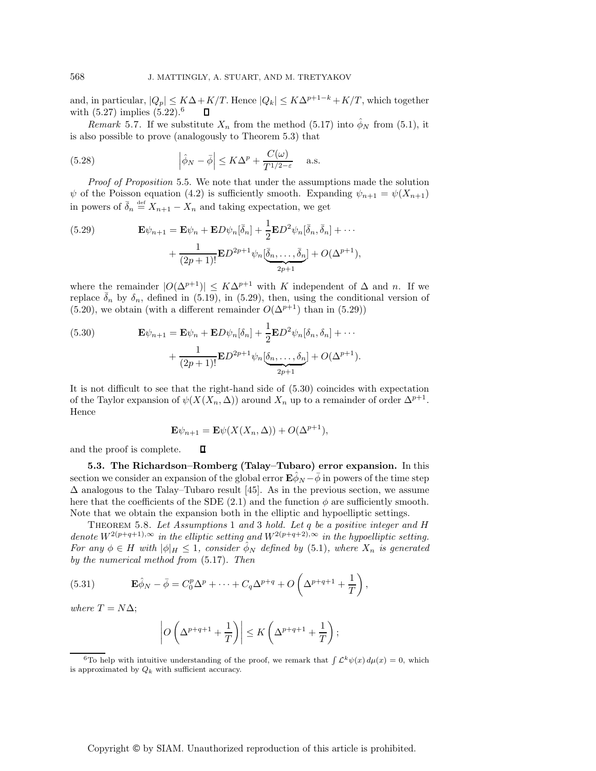and, in particular,  $|Q_p| \leq K\Delta + K/T$ . Hence  $|Q_k| \leq K\Delta^{p+1-k} + K/T$ , which together with  $(5.27)$  implies  $(5.22).<sup>6</sup>$  $\Box$ 

*Remark* 5.7. If we substitute  $X_n$  from the method (5.17) into  $\phi_N$  from (5.1), it is also possible to prove (analogously to Theorem 5.3) that

(5.28) 
$$
\left|\hat{\phi}_N - \bar{\phi}\right| \leq K\Delta^p + \frac{C(\omega)}{T^{1/2-\varepsilon}} \quad \text{a.s.}
$$

*Proof of Proposition* 5.5. We note that under the assumptions made the solution  $\psi$  of the Poisson equation (4.2) is sufficiently smooth. Expanding  $\psi_{n+1} = \psi(X_{n+1})$ in powers of  $\bar{\delta}_n \stackrel{\text{def}}{=} X_{n+1} - X_n$  and taking expectation, we get

(5.29) 
$$
\mathbf{E}\psi_{n+1} = \mathbf{E}\psi_n + \mathbf{E}D\psi_n[\bar{\delta}_n] + \frac{1}{2}\mathbf{E}D^2\psi_n[\bar{\delta}_n, \bar{\delta}_n] + \cdots + \frac{1}{(2p+1)!}\mathbf{E}D^{2p+1}\psi_n[\bar{\delta}_n, \dots, \bar{\delta}_n] + O(\Delta^{p+1}),
$$

where the remainder  $|O(\Delta^{p+1})| \leq K\Delta^{p+1}$  with K independent of  $\Delta$  and n. If we replace  $\bar{\delta}_n$  by  $\delta_n$ , defined in (5.19), in (5.29), then, using the conditional version of (5.20), we obtain (with a different remainder  $O(\Delta^{p+1})$  than in (5.29))

(5.30) 
$$
\mathbf{E}\psi_{n+1} = \mathbf{E}\psi_n + \mathbf{E}D\psi_n[\delta_n] + \frac{1}{2}\mathbf{E}D^2\psi_n[\delta_n, \delta_n] + \cdots + \frac{1}{(2p+1)!}\mathbf{E}D^{2p+1}\psi_n[\delta_n, \dots, \delta_n] + O(\Delta^{p+1}).
$$

It is not difficult to see that the right-hand side of (5.30) coincides with expectation of the Taylor expansion of  $\psi(X(X_n, \Delta))$  around  $X_n$  up to a remainder of order  $\Delta^{p+1}$ . Hence

$$
\mathbf{E}\psi_{n+1} = \mathbf{E}\psi(X(X_n, \Delta)) + O(\Delta^{p+1}),
$$

and the proof is complete.  $\Box$ 

**5.3. The Richardson–Romberg (Talay–Tubaro) error expansion.** In this section we consider an expansion of the global error  $\mathbf{E} \phi_N - \overline{\phi}$  in powers of the time step  $\Delta$  analogous to the Talay–Tubaro result [45]. As in the previous section, we assume here that the coefficients of the SDE (2.1) and the function  $\phi$  are sufficiently smooth. Note that we obtain the expansion both in the elliptic and hypoelliptic settings.

Theorem 5.8. *Let Assumptions* 1 *and* 3 *hold. Let* q *be a positive integer and* H *denote*  $W^{2(p+q+1),\infty}$  *in the elliptic setting and*  $W^{2(p+q+2),\infty}$  *in the hypoelliptic setting. For any*  $\phi \in H$  *with*  $|\phi|_H \leq 1$ *, consider*  $\hat{\phi}_N$  *defined by* (5.1)*, where*  $X_n$  *is generated by the numerical method from* (5.17)*. Then*

(5.31) 
$$
\mathbf{E}\hat{\phi}_N - \bar{\phi} = C_0^p \Delta^p + \dots + C_q \Delta^{p+q} + O\left(\Delta^{p+q+1} + \frac{1}{T}\right),
$$

*where*  $T = N\Delta$ ;

$$
\left|O\left(\Delta^{p+q+1}+\frac{1}{T}\right)\right|\leq K\left(\Delta^{p+q+1}+\frac{1}{T}\right);
$$

<sup>&</sup>lt;sup>6</sup>To help with intuitive understanding of the proof, we remark that  $\int \mathcal{L}^k \psi(x) d\mu(x) = 0$ , which is approximated by  $Q_k$  with sufficient accuracy.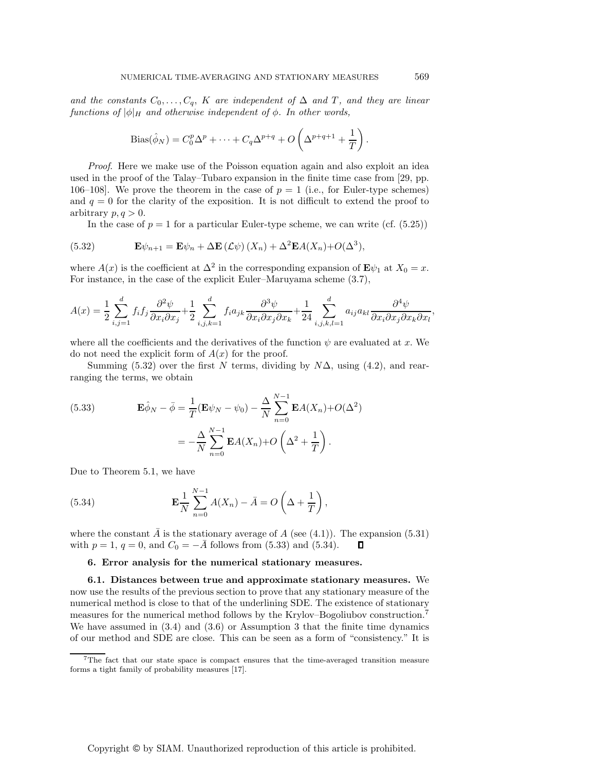*and the constants*  $C_0, \ldots, C_q$ , K are independent of  $\Delta$  and T, and they are linear *functions of*  $|\phi|_H$  *and otherwise independent of*  $\phi$ *. In other words,* 

Bias(
$$
\hat{\phi}_N
$$
) =  $C_0^p \Delta^p + \cdots + C_q \Delta^{p+q} + O\left(\Delta^{p+q+1} + \frac{1}{T}\right)$ .

*Proof*. Here we make use of the Poisson equation again and also exploit an idea used in the proof of the Talay–Tubaro expansion in the finite time case from [29, pp. 106–108. We prove the theorem in the case of  $p = 1$  (i.e., for Euler-type schemes) and  $q = 0$  for the clarity of the exposition. It is not difficult to extend the proof to arbitrary  $p, q > 0$ .

In the case of  $p = 1$  for a particular Euler-type scheme, we can write (cf.  $(5.25)$ )

(5.32) 
$$
\mathbf{E}\psi_{n+1} = \mathbf{E}\psi_n + \Delta\mathbf{E}\left(\mathcal{L}\psi\right)(X_n) + \Delta^2\mathbf{E}A(X_n) + O(\Delta^3),
$$

where  $A(x)$  is the coefficient at  $\Delta^2$  in the corresponding expansion of  $\mathbf{E}\psi_1$  at  $X_0 = x$ . For instance, in the case of the explicit Euler–Maruyama scheme (3.7),

$$
A(x) = \frac{1}{2} \sum_{i,j=1}^{d} f_i f_j \frac{\partial^2 \psi}{\partial x_i \partial x_j} + \frac{1}{2} \sum_{i,j,k=1}^{d} f_i a_{jk} \frac{\partial^3 \psi}{\partial x_i \partial x_j \partial x_k} + \frac{1}{24} \sum_{i,j,k,l=1}^{d} a_{ij} a_{kl} \frac{\partial^4 \psi}{\partial x_i \partial x_j \partial x_k \partial x_l},
$$

where all the coefficients and the derivatives of the function  $\psi$  are evaluated at x. We do not need the explicit form of  $A(x)$  for the proof.

Summing (5.32) over the first N terms, dividing by  $N\Delta$ , using (4.2), and rearranging the terms, we obtain

(5.33) 
$$
\mathbf{E}\hat{\phi}_N - \bar{\phi} = \frac{1}{T}(\mathbf{E}\psi_N - \psi_0) - \frac{\Delta}{N} \sum_{n=0}^{N-1} \mathbf{E}A(X_n) + O(\Delta^2)
$$

$$
= -\frac{\Delta}{N} \sum_{n=0}^{N-1} \mathbf{E}A(X_n) + O(\Delta^2 + \frac{1}{T}).
$$

Due to Theorem 5.1, we have

(5.34) 
$$
\mathbf{E}_{\overline{N}}^{\frac{1}{N}} \sum_{n=0}^{N-1} A(X_n) - \bar{A} = O\left(\Delta + \frac{1}{T}\right),
$$

where the constant  $\tilde{A}$  is the stationary average of  $A$  (see (4.1)). The expansion (5.31) with  $p = 1, q = 0$ , and  $C_0 = -\overline{A}$  follows from (5.33) and (5.34).  $\Box$ 

## **6. Error analysis for the numerical stationary measures.**

**6.1. Distances between true and approximate stationary measures.** We now use the results of the previous section to prove that any stationary measure of the numerical method is close to that of the underlining SDE. The existence of stationary measures for the numerical method follows by the Krylov–Bogoliubov construction.<sup>7</sup> We have assumed in  $(3.4)$  and  $(3.6)$  or Assumption 3 that the finite time dynamics of our method and SDE are close. This can be seen as a form of "consistency." It is

<sup>7</sup>The fact that our state space is compact ensures that the time-averaged transition measure forms a tight family of probability measures [17].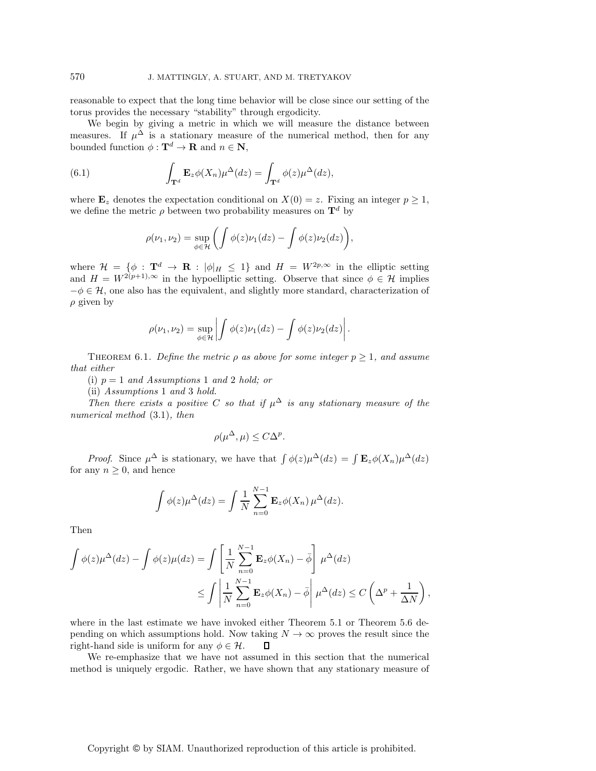reasonable to expect that the long time behavior will be close since our setting of the torus provides the necessary "stability" through ergodicity.

We begin by giving a metric in which we will measure the distance between measures. If  $\mu^{\Delta}$  is a stationary measure of the numerical method, then for any bounded function  $\phi : \mathbf{T}^d \to \mathbf{R}$  and  $n \in \mathbf{N}$ ,

(6.1) 
$$
\int_{\mathbf{T}^d} \mathbf{E}_z \phi(X_n) \mu^{\Delta}(dz) = \int_{\mathbf{T}^d} \phi(z) \mu^{\Delta}(dz),
$$

where  $\mathbf{E}_z$  denotes the expectation conditional on  $X(0) = z$ . Fixing an integer  $p \geq 1$ , we define the metric  $\rho$  between two probability measures on  $\mathbf{T}^d$  by

$$
\rho(\nu_1, \nu_2) = \sup_{\phi \in \mathcal{H}} \left( \int \phi(z) \nu_1(dz) - \int \phi(z) \nu_2(dz) \right),
$$

where  $\mathcal{H} = \{\phi : \mathbf{T}^d \to \mathbf{R} : |\phi|_H \leq 1\}$  and  $H = W^{2p,\infty}$  in the elliptic setting and  $H = W^{2(p+1),\infty}$  in the hypoelliptic setting. Observe that since  $\phi \in \mathcal{H}$  implies  $-\phi \in \mathcal{H}$ , one also has the equivalent, and slightly more standard, characterization of  $\rho$  given by

$$
\rho(\nu_1, \nu_2) = \sup_{\phi \in \mathcal{H}} \left| \int \phi(z) \nu_1(dz) - \int \phi(z) \nu_2(dz) \right|.
$$

THEOREM 6.1. *Define the metric*  $\rho$  *as above for some integer*  $p \geq 1$ , and assume *that either*

(i) p = 1 *and Assumptions* 1 *and* 2 *hold; or*

(ii) *Assumptions* 1 *and* 3 *hold.*

*Then there exists a positive* C *so that if*  $\mu^{\Delta}$  *is any stationary measure of the numerical method* (3.1)*, then*

$$
\rho(\mu^{\Delta}, \mu) \le C\Delta^p.
$$

*Proof.* Since  $\mu^{\Delta}$  is stationary, we have that  $\int \phi(z) \mu^{\Delta}(dz) = \int \mathbf{E}_z \phi(X_n) \mu^{\Delta}(dz)$ for any  $n \geq 0$ , and hence

$$
\int \phi(z) \mu^{\Delta}(dz) = \int \frac{1}{N} \sum_{n=0}^{N-1} \mathbf{E}_{z} \phi(X_n) \mu^{\Delta}(dz).
$$

Then

$$
\int \phi(z)\mu^{\Delta}(dz) - \int \phi(z)\mu(dz) = \int \left[\frac{1}{N} \sum_{n=0}^{N-1} \mathbf{E}_{z}\phi(X_{n}) - \bar{\phi}\right] \mu^{\Delta}(dz)
$$
  

$$
\leq \int \left|\frac{1}{N} \sum_{n=0}^{N-1} \mathbf{E}_{z}\phi(X_{n}) - \bar{\phi}\right| \mu^{\Delta}(dz) \leq C\left(\Delta^{p} + \frac{1}{\Delta N}\right)
$$

,

where in the last estimate we have invoked either Theorem 5.1 or Theorem 5.6 depending on which assumptions hold. Now taking  $N \to \infty$  proves the result since the right-hand side is uniform for any  $\phi \in \mathcal{H}$ .  $\Box$ 

We re-emphasize that we have not assumed in this section that the numerical method is uniquely ergodic. Rather, we have shown that any stationary measure of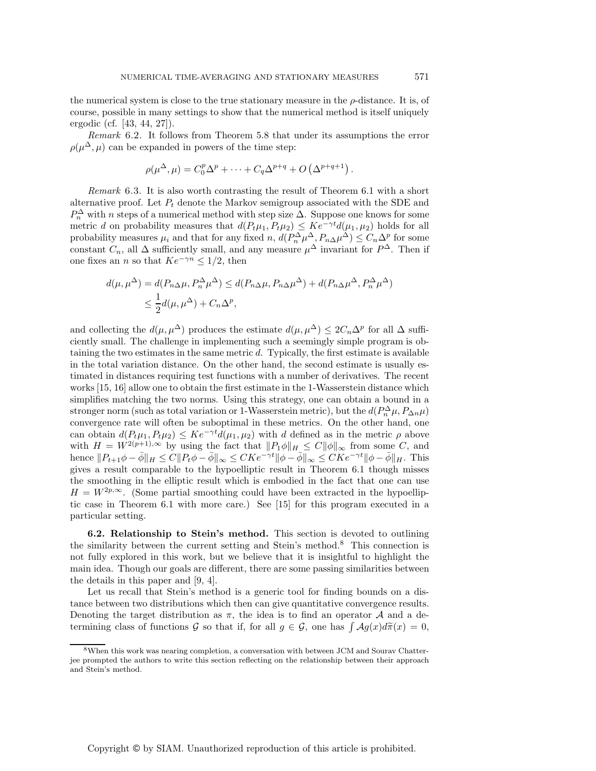the numerical system is close to the true stationary measure in the  $\rho$ -distance. It is, of course, possible in many settings to show that the numerical method is itself uniquely ergodic (cf. [43, 44, 27]).

*Remark* 6.2. It follows from Theorem 5.8 that under its assumptions the error  $\rho(\mu^{\Delta}, \mu)$  can be expanded in powers of the time step:

$$
\rho(\mu^{\Delta}, \mu) = C_0^p \Delta^p + \cdots + C_q \Delta^{p+q} + O\left(\Delta^{p+q+1}\right).
$$

*Remark* 6.3. It is also worth contrasting the result of Theorem 6.1 with a short alternative proof. Let  $P_t$  denote the Markov semigroup associated with the SDE and  $P_n^{\Delta}$  with n steps of a numerical method with step size  $\Delta$ . Suppose one knows for some metric d on probability measures that  $d(P_t\mu_1, P_t\mu_2) \leq Ke^{-\gamma t}d(\mu_1, \mu_2)$  holds for all probability measures  $\mu_i$  and that for any fixed n,  $d(P_n^{\Delta}\mu^{\Delta}, P_{n\Delta}\mu^{\Delta}) \leq C_n \Delta^p$  for some constant  $C_n$ , all  $\Delta$  sufficiently small, and any measure  $\mu^{\Delta}$  invariant for  $P^{\Delta}$ . Then if one fixes an *n* so that  $Ke^{-\gamma n} \leq 1/2$ , then

$$
d(\mu, \mu^{\Delta}) = d(P_{n\Delta}\mu, P_n^{\Delta}\mu^{\Delta}) \le d(P_{n\Delta}\mu, P_{n\Delta}\mu^{\Delta}) + d(P_{n\Delta}\mu^{\Delta}, P_n^{\Delta}\mu^{\Delta})
$$
  

$$
\le \frac{1}{2}d(\mu, \mu^{\Delta}) + C_n\Delta^p,
$$

and collecting the  $d(\mu, \mu^{\Delta})$  produces the estimate  $d(\mu, \mu^{\Delta}) \leq 2C_n\Delta^p$  for all  $\Delta$  sufficiently small. The challenge in implementing such a seemingly simple program is obtaining the two estimates in the same metric  $d$ . Typically, the first estimate is available in the total variation distance. On the other hand, the second estimate is usually estimated in distances requiring test functions with a number of derivatives. The recent works [15, 16] allow one to obtain the first estimate in the 1-Wasserstein distance which simplifies matching the two norms. Using this strategy, one can obtain a bound in a stronger norm (such as total variation or 1-Wasserstein metric), but the  $d(P_n^{\Delta} \mu, P_{\Delta n} \mu)$ convergence rate will often be suboptimal in these metrics. On the other hand, one can obtain  $d(P_t\mu_1, P_t\mu_2) \leq Ke^{-\gamma t}d(\mu_1, \mu_2)$  with d defined as in the metric  $\rho$  above with  $H = W^{2(p+1),\infty}$  by using the fact that  $||P_1\phi||_H \leq C ||\phi||_{\infty}$  from some C, and hence  $||P_{t+1}\phi - \bar{\phi}||_H \leq C ||P_t \phi - \bar{\phi}||_{\infty} \leq CKe^{-\gamma t} ||\phi - \bar{\phi}||_{\infty} \leq CKe^{-\gamma t} ||\phi - \bar{\phi}||_H$ . This gives a result comparable to the hypoelliptic result in Theorem 6.1 though misses the smoothing in the elliptic result which is embodied in the fact that one can use  $H = W^{2p,\infty}$ . (Some partial smoothing could have been extracted in the hypoelliptic case in Theorem 6.1 with more care.) See [15] for this program executed in a particular setting.

**6.2. Relationship to Stein's method.** This section is devoted to outlining the similarity between the current setting and Stein's method.<sup>8</sup> This connection is not fully explored in this work, but we believe that it is insightful to highlight the main idea. Though our goals are different, there are some passing similarities between the details in this paper and [9, 4].

Let us recall that Stein's method is a generic tool for finding bounds on a distance between two distributions which then can give quantitative convergence results. Denoting the target distribution as  $\pi$ , the idea is to find an operator A and a determining class of functions G so that if, for all  $g \in \mathcal{G}$ , one has  $\int \mathcal{A}g(x)d\tilde{\pi}(x) = 0$ ,

<sup>8</sup>When this work was nearing completion, a conversation with between JCM and Sourav Chatterjee prompted the authors to write this section reflecting on the relationship between their approach and Stein's method.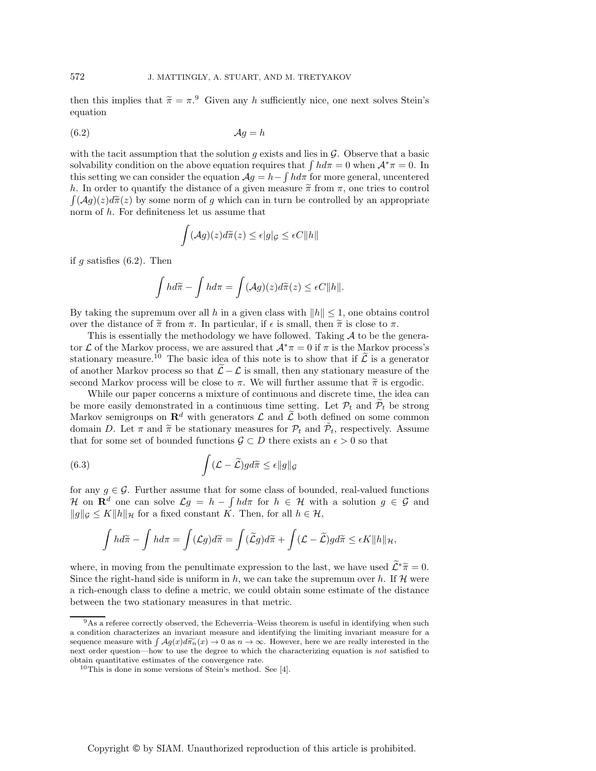then this implies that  $\tilde{\pi} = \pi$ .<sup>9</sup> Given any h sufficiently nice, one next solves Stein's equation

$$
(6.2) \t\t \t\t \mathcal{A}g = h
$$

with the tacit assumption that the solution g exists and lies in  $\mathcal G$ . Observe that a basic solvability condition on the above equation requires that  $\int h d\pi = 0$  when  $\mathcal{A}^* \pi = 0$ . In this setting we can consider the equation  $\mathcal{A}g = h - \int h d\pi$  for more general, uncentered h. In order to quantify the distance of a given measure  $\tilde{\pi}$  from  $\pi$ , one tries to control  $\int (\mathcal{A}g)(z) d\tilde{\pi}(z)$  by some norm of g which can in turn be controlled by an appropriate norm of h. For definiteness let us assume that

$$
\int (\mathcal{A}g)(z)d\widetilde{\pi}(z) \leq \epsilon |g|_{\mathcal{G}} \leq \epsilon C ||h||
$$

if g satisfies  $(6.2)$ . Then

$$
\int hd\widetilde{\pi} - \int hd\pi = \int (\mathcal{A}g)(z)d\widetilde{\pi}(z) \leq \epsilon C ||h||.
$$

By taking the supremum over all h in a given class with  $||h|| \leq 1$ , one obtains control over the distance of  $\tilde{\pi}$  from  $\pi$ . In particular, if  $\epsilon$  is small, then  $\tilde{\pi}$  is close to  $\pi$ .

This is essentially the methodology we have followed. Taking  $A$  to be the generator  $\mathcal L$  of the Markov process, we are assured that  $\mathcal A^*\pi=0$  if  $\pi$  is the Markov process's stationary measure.<sup>10</sup> The basic idea of this note is to show that if  $\tilde{\mathcal{L}}$  is a generator of another Markov process so that  $\mathcal{L}-\mathcal{L}$  is small, then any stationary measure of the second Markov process will be close to  $\pi$ . We will further assume that  $\tilde{\pi}$  is ergodic.

While our paper concerns a mixture of continuous and discrete time, the idea can be more easily demonstrated in a continuous time setting. Let  $\mathcal{P}_t$  and  $\mathcal{P}_t$  be strong Markov semigroups on  $\mathbb{R}^d$  with generators  $\mathcal L$  and  $\widetilde{\mathcal L}$  both defined on some common domain D. Let  $\pi$  and  $\tilde{\pi}$  be stationary measures for  $\mathcal{P}_t$  and  $\tilde{\mathcal{P}}_t$ , respectively. Assume that for some set of bounded functions  $\mathcal{G} \subset D$  there exists an  $\epsilon > 0$  so that

(6.3) 
$$
\int (\mathcal{L} - \widetilde{\mathcal{L}}) g d\widetilde{\pi} \le \epsilon \|g\|_{\mathcal{G}}
$$

for any  $q \in \mathcal{G}$ . Further assume that for some class of bounded, real-valued functions H on  $\mathbf{R}^d$  one can solve  $\mathcal{L}g = h - \int h d\pi$  for  $h \in \mathcal{H}$  with a solution  $g \in \mathcal{G}$  and  $||g||_{\mathcal{G}} \leq K||h||_{\mathcal{H}}$  for a fixed constant K. Then, for all  $h \in \mathcal{H}$ ,

$$
\int hd\widetilde{\pi} - \int hd\pi = \int (\mathcal{L}g)d\widetilde{\pi} = \int (\widetilde{\mathcal{L}}g)d\widetilde{\pi} + \int (\mathcal{L} - \widetilde{\mathcal{L}})gd\widetilde{\pi} \leq \epsilon K ||h||_{\mathcal{H}},
$$

where, in moving from the penultimate expression to the last, we have used  $\tilde{\mathcal{L}}^* \tilde{\pi} = 0$ . Since the right-hand side is uniform in  $h$ , we can take the supremum over h. If  $H$  were a rich-enough class to define a metric, we could obtain some estimate of the distance between the two stationary measures in that metric.

<sup>9</sup>As a referee correctly observed, the Echeverria–Weiss theorem is useful in identifying when such a condition characterizes an invariant measure and identifying the limiting invariant measure for a sequence measure with  $\int A g(x) d\tilde{n}_n(x) \to 0$  as  $n \to \infty$ . However, here we are really interested in the next order question—how to use the degree to which the characterizing equation is not satisfied to obtain quantitative estimates of the convergence rate.  $10$ This is done in some versions of Stein's method. See [4].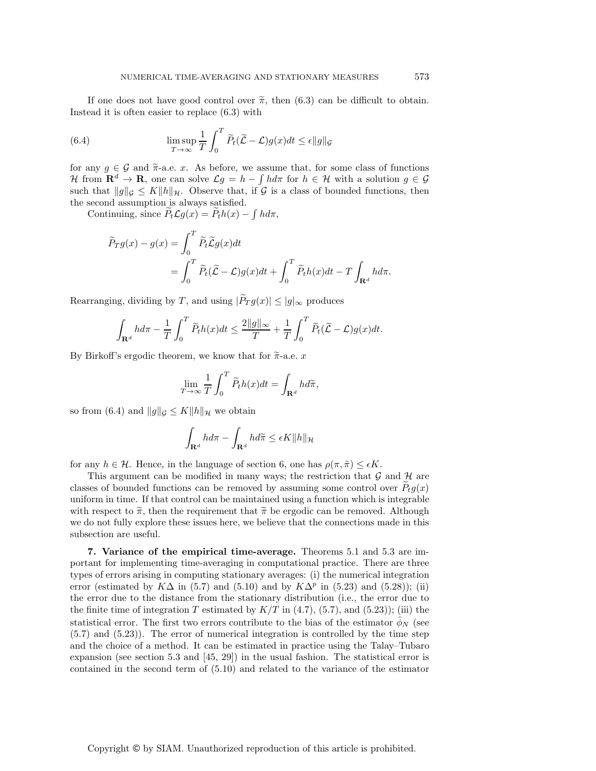If one does not have good control over  $\tilde{\pi}$ , then (6.3) can be difficult to obtain. Instead it is often easier to replace (6.3) with

(6.4) 
$$
\limsup_{T \to \infty} \frac{1}{T} \int_0^T \widetilde{P}_t(\widetilde{\mathcal{L}} - \mathcal{L}) g(x) dt \le \epsilon ||g||_{\mathcal{G}}
$$

for any  $g \in \mathcal{G}$  and  $\tilde{\pi}$ -a.e. x. As before, we assume that, for some class of functions H from  $\mathbf{R}^d \to \mathbf{R}$ , one can solve  $\mathcal{L}g = h - \int h d\pi$  for  $h \in \mathcal{H}$  with a solution  $g \in \mathcal{G}$ such that  $||g||_{\mathcal{G}} \leq K||h||_{\mathcal{H}}$ . Observe that, if  $\mathcal G$  is a class of bounded functions, then the second assumption is always satisfied.

Continuing, since  $P_t \mathcal{L} g(x) = P_t h(x) - \int h d\pi$ ,

$$
\widetilde{P}_T g(x) - g(x) = \int_0^T \widetilde{P}_t \widetilde{L} g(x) dt
$$
  
= 
$$
\int_0^T \widetilde{P}_t (\widetilde{L} - \mathcal{L}) g(x) dt + \int_0^T \widetilde{P}_t h(x) dt - T \int_{\mathbf{R}^d} h d\pi.
$$

Rearranging, dividing by T, and using  $|\widetilde{P}_T g(x)| \leq |g|_{\infty}$  produces

$$
\int_{\mathbf{R}^d} h d\pi - \frac{1}{T} \int_0^T \widetilde{P}_t h(x) dt \le \frac{2\|g\|_{\infty}}{T} + \frac{1}{T} \int_0^T \widetilde{P}_t (\widetilde{\mathcal{L}} - \mathcal{L}) g(x) dt.
$$

By Birkoff's ergodic theorem, we know that for  $\tilde{\pi}$ -a.e. x

$$
\lim_{T \to \infty} \frac{1}{T} \int_0^T \widetilde{P}_t h(x) dt = \int_{\mathbf{R}^d} h d\widetilde{\pi},
$$

so from (6.4) and  $||g||_{\mathcal{G}} \leq K||h||_{\mathcal{H}}$  we obtain

$$
\int_{\mathbf{R}^d} h d\pi - \int_{\mathbf{R}^d} h d\widetilde{\pi} \leq \epsilon K \|h\|_{\mathcal{H}}
$$

for any  $h \in \mathcal{H}$ . Hence, in the language of section 6, one has  $\rho(\pi, \tilde{\pi}) \leq \epsilon K$ .

This argument can be modified in many ways; the restriction that  $\mathcal G$  and  $\mathcal H$  are classes of bounded functions can be removed by assuming some control over  $P_tq(x)$ uniform in time. If that control can be maintained using a function which is integrable with respect to  $\tilde{\pi}$ , then the requirement that  $\tilde{\pi}$  be ergodic can be removed. Although we do not fully explore these issues here, we believe that the connections made in this subsection are useful.

**7. Variance of the empirical time-average.** Theorems 5.1 and 5.3 are important for implementing time-averaging in computational practice. There are three types of errors arising in computing stationary averages: (i) the numerical integration error (estimated by  $K\Delta$  in (5.7) and (5.10) and by  $K\Delta^p$  in (5.23) and (5.28)); (ii) the error due to the distance from the stationary distribution (i.e., the error due to the finite time of integration T estimated by  $K/T$  in (4.7), (5.7), and (5.23)); (iii) the statistical error. The first two errors contribute to the bias of the estimator  $\phi_N$  (see (5.7) and (5.23)). The error of numerical integration is controlled by the time step and the choice of a method. It can be estimated in practice using the Talay–Tubaro expansion (see section 5.3 and [45, 29]) in the usual fashion. The statistical error is contained in the second term of (5.10) and related to the variance of the estimator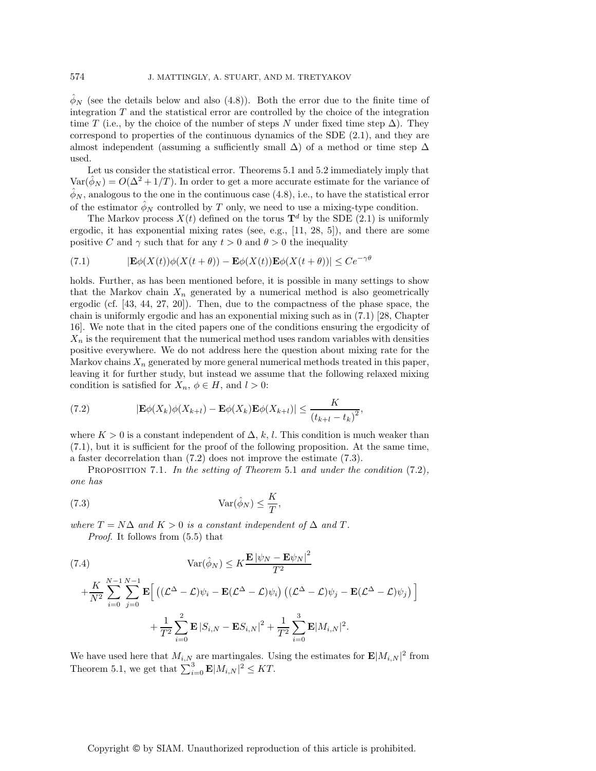$\phi_N$  (see the details below and also (4.8)). Both the error due to the finite time of integration  $T$  and the statistical error are controlled by the choice of the integration time T (i.e., by the choice of the number of steps N under fixed time step  $\Delta$ ). They correspond to properties of the continuous dynamics of the SDE (2.1), and they are almost independent (assuming a sufficiently small  $\Delta$ ) of a method or time step  $\Delta$ used.

Let us consider the statistical error. Theorems 5.1 and 5.2 immediately imply that  $Var(\phi_N) = O(\Delta^2 + 1/T)$ . In order to get a more accurate estimate for the variance of  $\hat{\phi}_N$ , analogous to the one in the continuous case (4.8), i.e., to have the statistical error of the estimator  $\hat{\phi}_N$  controlled by T only, we need to use a mixing-type condition.

The Markov process  $X(t)$  defined on the torus  $\mathbf{T}^d$  by the SDE (2.1) is uniformly ergodic, it has exponential mixing rates (see, e.g., [11, 28, 5]), and there are some positive C and  $\gamma$  such that for any  $t > 0$  and  $\theta > 0$  the inequality

(7.1) 
$$
|\mathbf{E}\phi(X(t))\phi(X(t+\theta)) - \mathbf{E}\phi(X(t))\mathbf{E}\phi(X(t+\theta))| \leq Ce^{-\gamma\theta}
$$

holds. Further, as has been mentioned before, it is possible in many settings to show that the Markov chain  $X_n$  generated by a numerical method is also geometrically ergodic (cf. [43, 44, 27, 20]). Then, due to the compactness of the phase space, the chain is uniformly ergodic and has an exponential mixing such as in (7.1) [28, Chapter 16]. We note that in the cited papers one of the conditions ensuring the ergodicity of  $X_n$  is the requirement that the numerical method uses random variables with densities positive everywhere. We do not address here the question about mixing rate for the Markov chains  $X_n$  generated by more general numerical methods treated in this paper, leaving it for further study, but instead we assume that the following relaxed mixing condition is satisfied for  $X_n$ ,  $\phi \in H$ , and  $l > 0$ :

(7.2) 
$$
|\mathbf{E}\phi(X_k)\phi(X_{k+l}) - \mathbf{E}\phi(X_k)\mathbf{E}\phi(X_{k+l})| \leq \frac{K}{(t_{k+l} - t_k)^2},
$$

where  $K > 0$  is a constant independent of  $\Delta$ , k, l. This condition is much weaker than (7.1), but it is sufficient for the proof of the following proposition. At the same time, a faster decorrelation than (7.2) does not improve the estimate (7.3).

Proposition 7.1. *In the setting of Theorem* 5.1 *and under the condition* (7.2)*, one has*

(7.3) 
$$
Var(\hat{\phi}_N) \le \frac{K}{T},
$$

*where*  $T = N\Delta$  *and*  $K > 0$  *is a constant independent of*  $\Delta$  *and*  $T$ *.* 

*Proof*. It follows from (5.5) that

(7.4)  
\n
$$
\operatorname{Var}(\hat{\phi}_N) \leq K \frac{\mathbf{E} |\psi_N - \mathbf{E} \psi_N|^2}{T^2}
$$
\n
$$
+ \frac{K}{N^2} \sum_{i=0}^{N-1} \sum_{j=0}^{N-1} \mathbf{E} \Big[ \left( (\mathcal{L}^{\Delta} - \mathcal{L}) \psi_i - \mathbf{E} (\mathcal{L}^{\Delta} - \mathcal{L}) \psi_i \right) \left( (\mathcal{L}^{\Delta} - \mathcal{L}) \psi_j - \mathbf{E} (\mathcal{L}^{\Delta} - \mathcal{L}) \psi_j \right) \Big]
$$
\n
$$
+ \frac{1}{T^2} \sum_{i=0}^{2} \mathbf{E} |S_{i,N} - \mathbf{E} S_{i,N}|^2 + \frac{1}{T^2} \sum_{i=0}^{3} \mathbf{E} |M_{i,N}|^2.
$$

We have used here that  $M_{i,N}$  are martingales. Using the estimates for  $\mathbf{E}|M_{i,N}|^2$  from Theorem 5.1, we get that  $\sum_{i=0}^{3} \mathbf{E} |M_{i,N}|^2 \leq KT$ .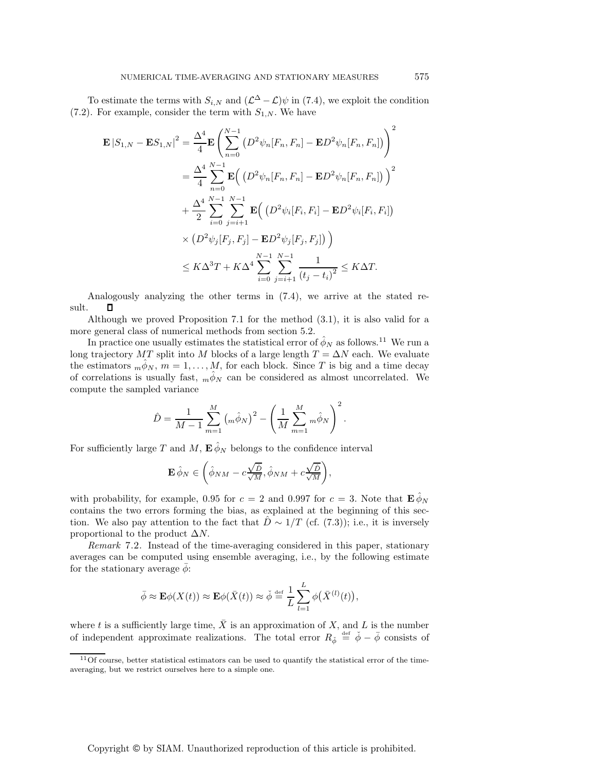To estimate the terms with  $S_{i,N}$  and  $(\mathcal{L}^{\Delta} - \mathcal{L})\psi$  in (7.4), we exploit the condition (7.2). For example, consider the term with  $S_{1,N}$ . We have

$$
\mathbf{E}|S_{1,N} - \mathbf{E}S_{1,N}|^2 = \frac{\Delta^4}{4} \mathbf{E} \left( \sum_{n=0}^{N-1} \left( D^2 \psi_n[F_n, F_n] - \mathbf{E} D^2 \psi_n[F_n, F_n] \right) \right)^2
$$
  
\n
$$
= \frac{\Delta^4}{4} \sum_{n=0}^{N-1} \mathbf{E} \left( \left( D^2 \psi_n[F_n, F_n] - \mathbf{E} D^2 \psi_n[F_n, F_n] \right) \right)^2
$$
  
\n
$$
+ \frac{\Delta^4}{2} \sum_{i=0}^{N-1} \sum_{j=i+1}^{N-1} \mathbf{E} \left( \left( D^2 \psi_i[F_i, F_i] - \mathbf{E} D^2 \psi_i[F_i, F_i] \right) \right)
$$
  
\n
$$
\times \left( D^2 \psi_j[F_j, F_j] - \mathbf{E} D^2 \psi_j[F_j, F_j] \right) \right)
$$
  
\n
$$
\leq K \Delta^3 T + K \Delta^4 \sum_{i=0}^{N-1} \sum_{j=i+1}^{N-1} \frac{1}{(t_j - t_i)^2} \leq K \Delta T.
$$

Analogously analyzing the other terms in (7.4), we arrive at the stated result. Д

Although we proved Proposition 7.1 for the method (3.1), it is also valid for a more general class of numerical methods from section 5.2.

In practice one usually estimates the statistical error of  $\hat{\phi}_N$  as follows.<sup>11</sup> We run a long trajectory MT split into M blocks of a large length  $T = \Delta N$  each. We evaluate the estimators  $m\ddot{\phi}_N$ ,  $m = 1, \ldots, M$ , for each block. Since T is big and a time decay of correlations is usually fast,  $m\ddot{\phi}_N$  can be considered as almost uncorrelated. We compute the sampled variance

$$
\hat{D} = \frac{1}{M-1} \sum_{m=1}^{M} (m \hat{\phi}_N)^2 - \left(\frac{1}{M} \sum_{m=1}^{M} m \hat{\phi}_N\right)^2.
$$

For sufficiently large T and M,  $\mathbf{E} \hat{\phi}_N$  belongs to the confidence interval

$$
\mathbf{E}\,\hat{\phi}_N \in \left(\hat{\phi}_{NM} - c\frac{\sqrt{\hat{D}}}{\sqrt{M}}, \hat{\phi}_{NM} + c\frac{\sqrt{\hat{D}}}{\sqrt{M}}\right),\
$$

with probability, for example, 0.95 for  $c = 2$  and 0.997 for  $c = 3$ . Note that  $\mathbf{E} \hat{\phi}_N$ contains the two errors forming the bias, as explained at the beginning of this section. We also pay attention to the fact that  $D \sim 1/T$  (cf. (7.3)); i.e., it is inversely proportional to the product  $\Delta N$ .

*Remark* 7.2. Instead of the time-averaging considered in this paper, stationary averages can be computed using ensemble averaging, i.e., by the following estimate for the stationary average  $\overline{\phi}$ :

$$
\bar{\phi} \approx \mathbf{E}\phi(X(t)) \approx \mathbf{E}\phi(\bar{X}(t)) \approx \check{\phi} \stackrel{\text{def}}{=} \frac{1}{L} \sum_{l=1}^{L} \phi(\bar{X}^{(l)}(t)),
$$

where t is a sufficiently large time,  $\overline{X}$  is an approximation of X, and L is the number of independent approximate realizations. The total error  $R_{\phi} \stackrel{\text{def}}{=} \phi - \bar{\phi}$  consists of

<sup>&</sup>lt;sup>11</sup>Of course, better statistical estimators can be used to quantify the statistical error of the timeaveraging, but we restrict ourselves here to a simple one.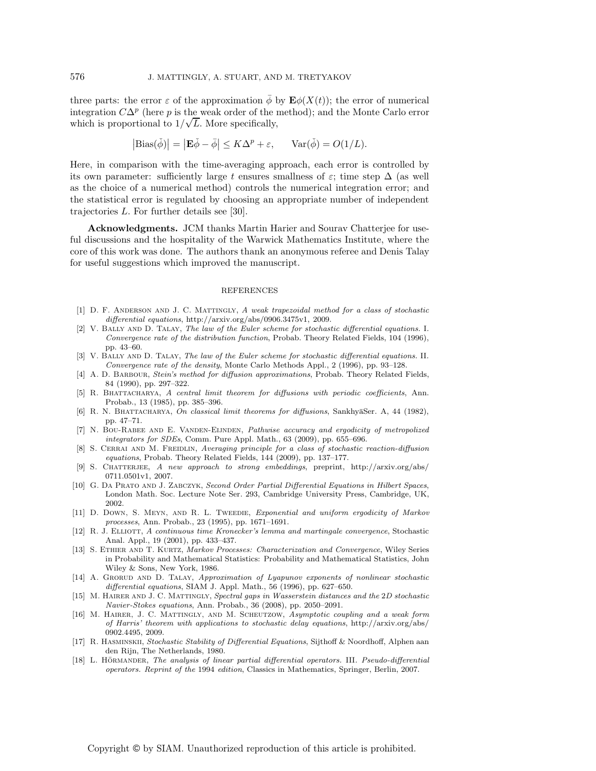three parts: the error  $\varepsilon$  of the approximation  $\overline{\phi}$  by  $\mathbf{E}\phi(X(t))$ ; the error of numerical integration  $C\Delta^p$  (here p is the weak order of the method); and the Monte Carlo error which is proportional to  $1/\sqrt{L}$ . More specifically,

$$
|\text{Bias}(\check{\phi})| = |\mathbf{E}\check{\phi} - \bar{\phi}| \leq K\Delta^p + \varepsilon, \quad \text{Var}(\check{\phi}) = O(1/L).
$$

Here, in comparison with the time-averaging approach, each error is controlled by its own parameter: sufficiently large t ensures smallness of  $\varepsilon$ ; time step  $\Delta$  (as well as the choice of a numerical method) controls the numerical integration error; and the statistical error is regulated by choosing an appropriate number of independent trajectories L. For further details see [30].

**Acknowledgments.** JCM thanks Martin Harier and Sourav Chatterjee for useful discussions and the hospitality of the Warwick Mathematics Institute, where the core of this work was done. The authors thank an anonymous referee and Denis Talay for useful suggestions which improved the manuscript.

#### REFERENCES

- [1] D. F. ANDERSON AND J. C. MATTINGLY, A weak trapezoidal method for a class of stochastic  $\it differential$  equations, http://arxiv.org/abs/0906.3475v1, 2009.
- [2] V. Bally and D. Talay, The law of the Euler scheme for stochastic differential equations. I. Convergence rate of the distribution function, Probab. Theory Related Fields, 104 (1996), pp. 43–60.
- [3] V. BALLY AND D. TALAY, The law of the Euler scheme for stochastic differential equations. II. Convergence rate of the density, Monte Carlo Methods Appl., 2 (1996), pp. 93–128.
- [4] A. D. BARBOUR, Stein's method for diffusion approximations, Probab. Theory Related Fields, 84 (1990), pp. 297–322.
- [5] R. BHATTACHARYA, A central limit theorem for diffusions with periodic coefficients, Ann. Probab., 13 (1985), pp. 385–396.
- [6] R. N. BHATTACHARYA, On classical limit theorems for diffusions, SankhyāSer. A, 44 (1982), pp. 47–71.
- [7] N. Bou-RABEE AND E. VANDEN-EIJNDEN, Pathwise accuracy and ergodicity of metropolized integrators for SDEs, Comm. Pure Appl. Math., 63 (2009), pp. 655–696.
- [8] S. Cerrai and M. Freidlin, Averaging principle for a class of stochastic reaction-diffusion equations, Probab. Theory Related Fields, 144 (2009), pp. 137–177.
- [9] S. Chatterjee, A new approach to strong embeddings, preprint, http://arxiv.org/abs/ 0711.0501v1, 2007.
- [10] G. DA PRATO AND J. ZABCZYK, Second Order Partial Differential Equations in Hilbert Spaces, London Math. Soc. Lecture Note Ser. 293, Cambridge University Press, Cambridge, UK, 2002.
- [11] D. Down, S. MEYN, AND R. L. TWEEDIE, Exponential and uniform ergodicity of Markov processes, Ann. Probab., 23 (1995), pp. 1671–1691.
- [12] R. J. ELLIOTT, A continuous time Kronecker's lemma and martingale convergence, Stochastic Anal. Appl., 19 (2001), pp. 433–437.
- [13] S. Ethier and T. Kurtz, Markov Processes: Characterization and Convergence, Wiley Series in Probability and Mathematical Statistics: Probability and Mathematical Statistics, John Wiley & Sons, New York, 1986.
- [14] A. GRORUD AND D. TALAY, Approximation of Lyapunov exponents of nonlinear stochastic differential equations, SIAM J. Appl. Math., 56 (1996), pp. 627–650.
- [15] M. Hairer and J. C. Mattingly, Spectral gaps in Wasserstein distances and the 2D stochastic Navier-Stokes equations, Ann. Probab., 36 (2008), pp. 2050–2091.
- [16] M. Hairer, J. C. Mattingly, and M. Scheutzow, Asymptotic coupling and a weak form of Harris' theorem with applications to stochastic delay equations, http://arxiv.org/abs/ 0902.4495, 2009.
- [17] R. Hasminskii, Stochastic Stability of Differential Equations, Sijthoff & Noordhoff, Alphen aan den Rijn, The Netherlands, 1980.
- [18] L. HÖRMANDER, The analysis of linear partial differential operators. III. Pseudo-differential operators. Reprint of the 1994 edition, Classics in Mathematics, Springer, Berlin, 2007.